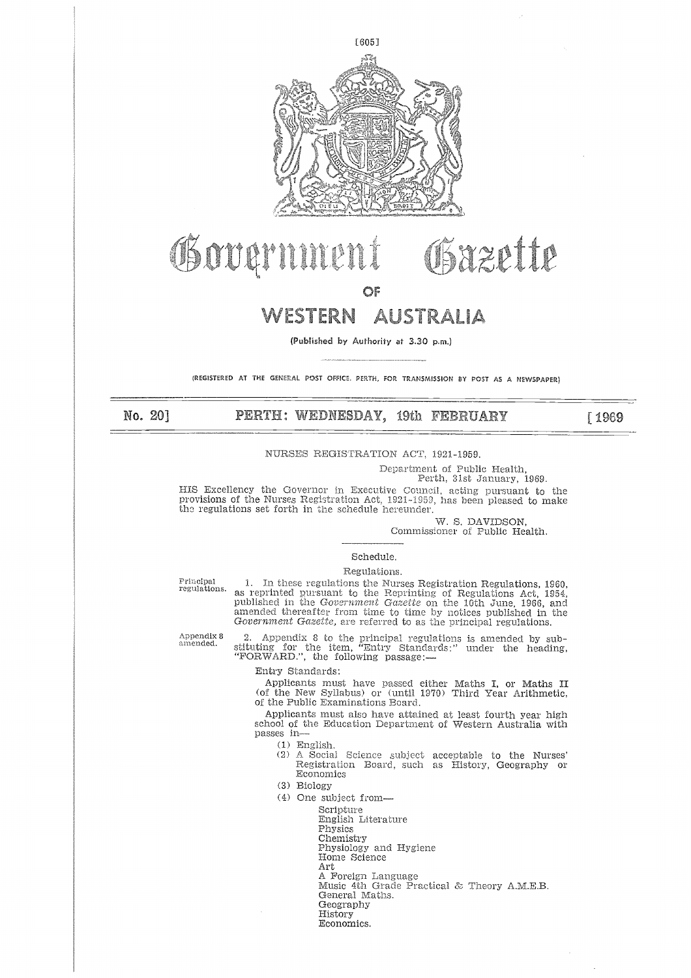

# **IS OUQUILIBERN AUST**<br>
OF<br>
WESTERN AUST<br>
(Published by Authority at 3.3)<br>
(REGISTERED AT THE GENERAL POST OFFICE. PERTH, FOR TRAN:<br>
NO. 20] PERTH: WEDNESDAY, 19th<br>
NURSES REGISTRATION ACT

# **WESTERN**

**(Published by Authority** at 3.30 p.m.)

(REGISTERED AT THE GENERAL POST OFFICE, PERTH, FOR TRANSMISSION BY POST AS A NEWSPAPER)

[1969]

### NURSES REGISTRATION ACT, 1921-1959.

Department of Public Health,

Perth, 31st January, 1969.

Gazette

HIS Excellency the Governor in Executive Council, acting pursuant to the provisions of the Nurses Registration Act, 1921-1959, has been pleased to make the regulations set forth in the schedule hereunder.

*W.* S. DAVIDSON,

Commissioner of Public Health.

### Schedule.

Regulations.

Principal regulations.

1. In these regulations the Nurses Registration Regulations, 1960, as reprinted pursuant to the Reprinting of Regulations Act, 1954,<br>published in the *Government Gazette* on the 10th June, 1966, and amended thereafter from time to time by notices published in the *Government Gazette,* are referred to as the principal regulations.

Appendix 8 amended.

2. Appendix 8 to the principal regulations *is* amended by sub-stituting for the item, "Entry Standards:" under the heading, "FORWARD.", the following passage:—

Entry Standards:

Applicants must have passed either Maths I, or Maths II (of the New Syllabus) or (until 1970) Third Year Arithmetic, of the Public Examinations Board.

Applicants must also have attained at least fourth year high school of the Education Department of Western Australia with passes in

- (1) English.
- (2) A Social Science subject acceptable to the Nurses' Registration Board, such as History, Geography or Registration Board, such as History, Geography Economics stration Board, such as History, Geography<br>omics<br>omics<br>subject from—<br>Scripture<br>English Literature<br>Physiology and Hygiene<br>Home Science<br>Art<br>A. Foreign Language<br>Music 4th Grade Practical & Theory A.M.E.B.<br>Geography<br>History<br>Hi
- (3) Biology
- (4) One subject from
	- Scripture

English Literature

- Physics
- Chemistry

Physiology and Hygiene

- Home Science
- Art
- A Foreign Language
- General Maths.
	- Geography
- History
- Economics.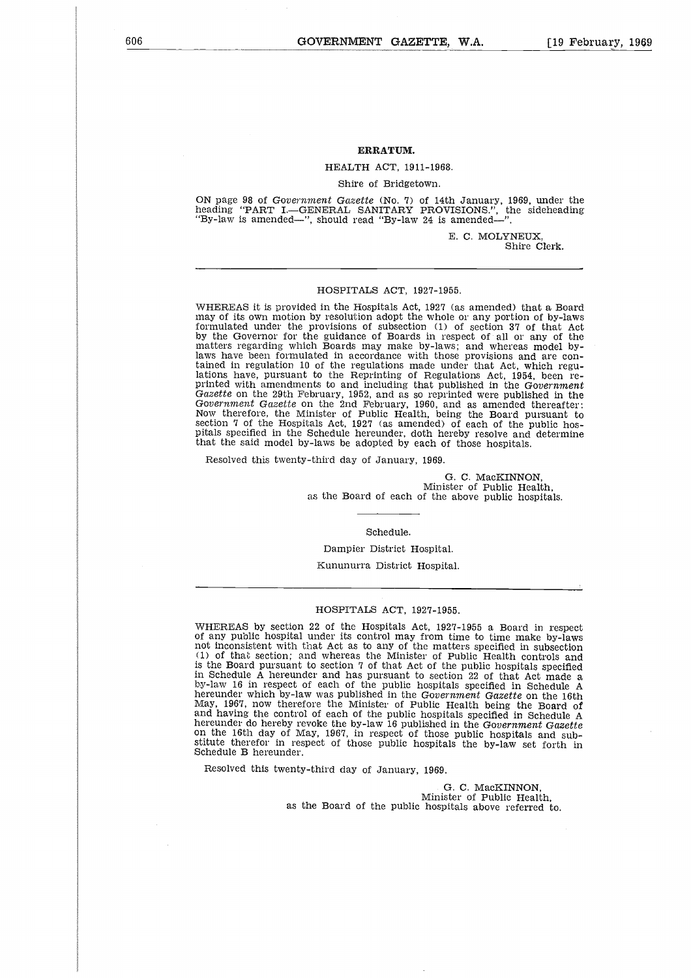### **ERRATUM.**

### HEALTH ACT, 1911-1968.

### Shire of Bridgetown.

ON page 98 of *Government Gazette* (No. 7) of 14th January, 1969, under the heading "PART I.—GENERAL SANITARY PROVISIONS.", the sideheading "By-law is amended—", should read "By-law 24 is amended—".

> E. C. MOLYNEUX, Shire Clerk.

### HOSPITALS ACT, 1927-1955.

WHEREAS it is provided in the Hospitals Act, 1927 (as amended) that a Board may of its own motion by resolution adopt the whole or any portion of by-laws formulated under the provisions of subsection (1) of section 37 of that Ac by the Governor for the guidance of Boards in respect of all or any of the matters regarding which Boards may make by-laws; and whereas model bylaws have been formulated in accordance with those provisions and are contained in regulation 10 of the regulations made under that Act, which regulations have, pursuant to the Reprinting of Regulations Act, 1954, been reprinted with amendments to and including that published in the *Government Gazette* on the 29th February, 1952, and as so reprinted were published in the *Government Gazette* on the 2nd February, 1960, and as amended thereafter: Now therefore, the Minister of Public Health, being the Board pursuant to section 7 of the Hospitals Act, 1927 (as amended) of each of the public hospitals specified in the Schedule hereunder, doth hereby resolve and determine that the said model by-laws be adopted by each of those hospitals.

Resolved this twenty-third day of January, 1969.

G. C. MacKINNON, Minister of Public Health, as the Board of each of the above public hospitals.

### Schedule.

Dampier District Hospital.

Kununurra District Hospital.

### HOSPITALS ACT, 1927-1955.

WHEREAS by section 22 of the Hospitals Act, 1927-1955 a Board in respect of any public hospital under its control may from time to time make by-laws not inconsistent with that Act as to any of the matters specified in subsection (1) of that section; and whereas the Minister of Public Health controls and is the Board pursuant to section 7 of that Act of the public hospitals specified in Schedule A hereunder and has pursuant to section 22 of that Act made a by-law 16 in respect of each of the public hospitals specified in Schedule A hereunder which by-law was published in the *Government Gazette* on the 16th May, 1967, now therefore the Minister of Public Health being the Board of and having the control of each of the public hospitals specified in Schedule  $\hat{P}$ hereunder do hereby revoke the by-law 16 published in the *Government Gazette* on the 16th day of May, 1967, in respect of those public hospitals and substitute therefor in respect of those public hospitals the by-law set forth in Schedule B hereunder.

Resolved this twenty-third day of January, 1969.

G. C. MacKINNON, Minister of Public Health, as the Board of the public hospitals above referred to.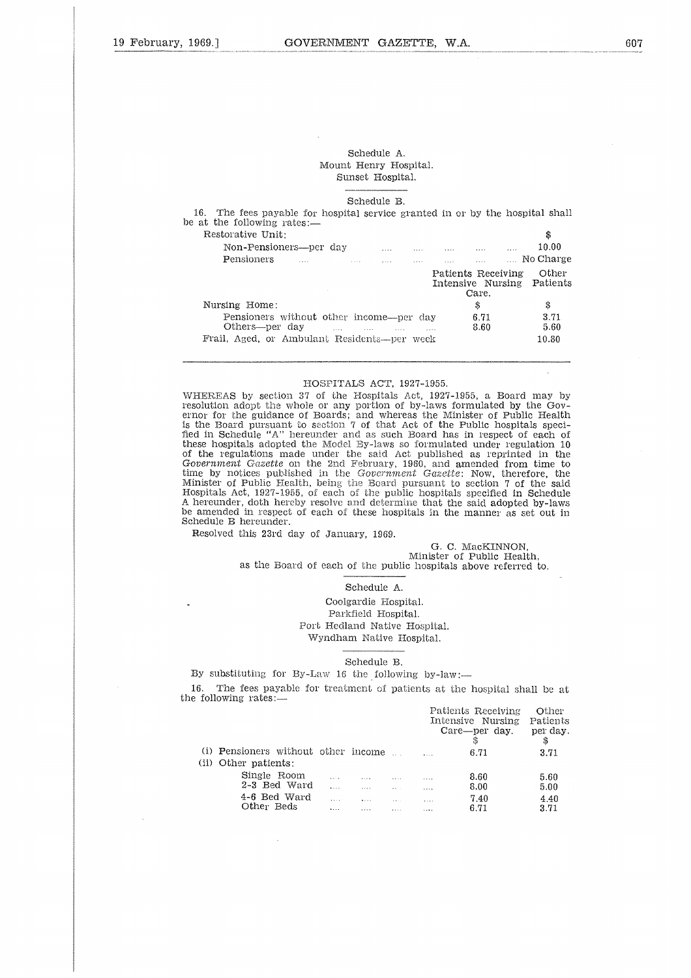### Schedule A. Mount Henry Hospital. Sunset Hospital.

| Schedule A.<br>Mount Henry Hospital.<br>Sunset Hospital.                                                                        |                                                                                                                                                  |                   |
|---------------------------------------------------------------------------------------------------------------------------------|--------------------------------------------------------------------------------------------------------------------------------------------------|-------------------|
| Schedule B.                                                                                                                     |                                                                                                                                                  |                   |
| 16. The fees payable for hospital service granted in or by the hospital shall<br>e at the following rates:—                     |                                                                                                                                                  |                   |
| Restorative Unit:                                                                                                               |                                                                                                                                                  | \$                |
| Non-Pensioners—per day man man man man                                                                                          | $\mathbf{r}$                                                                                                                                     | 10.00             |
| <b>Pensioners</b><br><b>Contract Contract</b><br><b>Save Contract</b>                                                           | $\mathbf{r}$ , $\mathbf{r}$ , $\mathbf{r}$ , $\mathbf{r}$ , $\mathbf{r}$ , $\mathbf{r}$ , $\mathbf{r}$ , $\mathbf{r}$ , $\mathbf{r}$<br>$\cdots$ | No Charge         |
|                                                                                                                                 | Patients Receiving<br>Intensive Nursing<br>Care.                                                                                                 | Other<br>Patients |
| Nursing Home:                                                                                                                   | \$                                                                                                                                               | \$                |
| Pensioners without other income—per day<br>Others—per day<br>$\mathbf{r}$ and $\mathbf{r}$ are the set of $\mathbf{r}$<br>1.111 | 6.71<br>8.60                                                                                                                                     | 3.71<br>5.60      |
| Frail, Aged, or Ambulant Residents—per week                                                                                     |                                                                                                                                                  | 10.80             |

### HOSPITALS ACT, 1927-1955.

WHEREAS by section 37 of the Hospitals Act, 1927-1955, a Board may by resolution adopt the whole or any portion of by-laws formulated by the Governor for the guidance of Boards; and whereas the Minister of Public Health is the Board pursuant to section 7 of that Act of the Public hospitals specified in Schedule "A" hereunder and as such Board has in respect of each of these hospitals adopted the Model By-laws so formulated under regulation 10 of the regulations made under the said Act published as reprinted in the *Government Gazette* on the 2nd February, 1960, and amended from time to time by notices published in the *Government Gazette:* Now, therefore, the Minister of Public Health, being the Board pursuant to section 7 of the said Hospitals Act, 1927-1955, of each of the public hospitals specified in Schedule A hereunder, doth hereby resolve and determine that the said adopted by-laws be amended in respect of each of these hospitals in the manner as set out in Schedule B hereunder.

Resolved this 23rd day of January, 1969.

### G. C. MacKINNON, Minister of Public Health,

as the Board of each of the public hospitals above referred to.

### Schedule A.

### Schedule B.

|                                                                                                    |                          | Coolgardie Hospital.<br>Parkfield Hospital.<br>Port Hedland Native Hospital.<br>Wyndham Native Hospital. |                                             |                                  |                                                                |                                     |
|----------------------------------------------------------------------------------------------------|--------------------------|----------------------------------------------------------------------------------------------------------|---------------------------------------------|----------------------------------|----------------------------------------------------------------|-------------------------------------|
|                                                                                                    |                          | Schedule B.                                                                                              |                                             |                                  |                                                                |                                     |
| By substituting for By-Law 16 the following by-law:-                                               |                          |                                                                                                          |                                             |                                  |                                                                |                                     |
| The fees payable for treatment of patients at the hospital shall be at<br>.6.<br>following rates:— |                          |                                                                                                          |                                             |                                  |                                                                |                                     |
|                                                                                                    |                          |                                                                                                          |                                             |                                  | Patients Receiving<br>Intensive Nursing<br>Care—per day.<br>\$ | Other<br>Patients<br>per day.<br>\$ |
| (i) Pensioners without other income<br>(ii) Other patients:                                        |                          |                                                                                                          |                                             |                                  | 6.71                                                           | 3.71                                |
| Single Room<br>2-3 Bed Ward<br>4-6 Bed Ward<br>Other Beds                                          | $\mathbf{L}$<br>$\cdots$ | $\sim 100$<br><b>Contract Contract</b><br>and the same of the same of the same<br>$\sim$                 | the company of the company of<br>$\sim 100$ | $\ldots$<br>$\cdots$<br>$\cdots$ | 8.60<br>8.00<br>7.40<br>6.71                                   | 5.60<br>5.00<br>4.40<br>3.71        |
|                                                                                                    |                          |                                                                                                          |                                             |                                  |                                                                |                                     |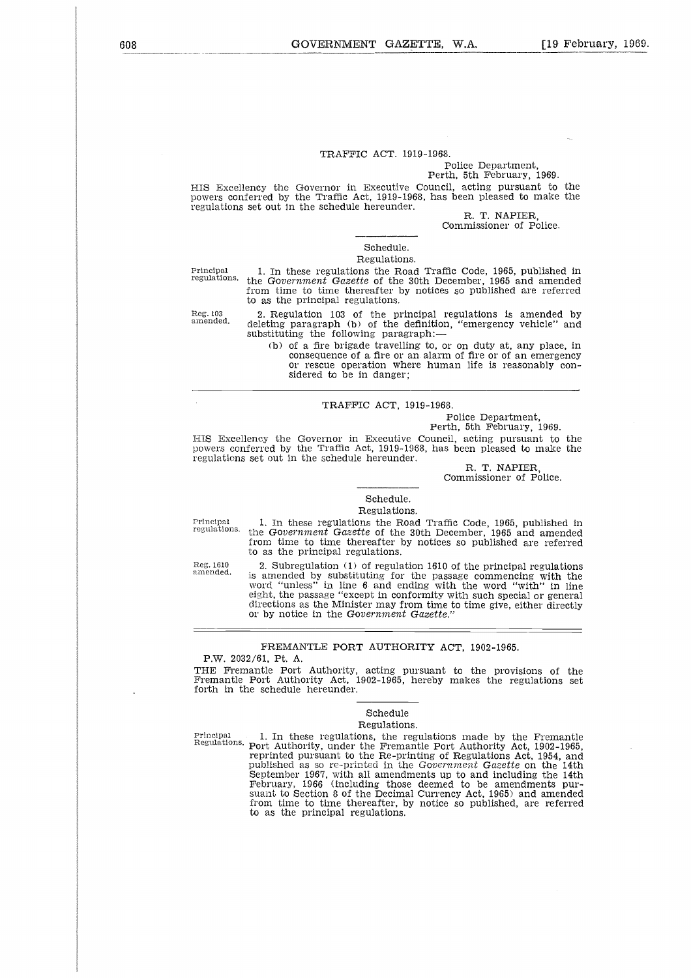### TRAFFIC ACT. 1919-1968.

### Police Department, Perth, 5th February, 1969.

HIS Excellency the Governor in Executive Council, acting pursuant to the powers conferred by the Traffic Act, 1919-1968, has been pleased to make the regulations set out in the schedule hereunder. Police Department,<br>
Principal Principal Principal Principal Principal Principal Principal I. In these regulations the Road Traffic Code, 1965, published in<br>
Principal 1. In these regulations the Road Traffic Code, 1965, pu

R. T. NAPIER, Commissioner of Police.

### Schedule. Regulations.

Reg. 103 amended.

regulations. the *Government Gazette* of the 30th December, 1965 and amended from time to time thereafter by notices so published are referred to as the principal regulations.

> 2. Regulation 103 of the principal regulations is amended by deleting paragraph (b) of the definition, "emergency vehicle" and substituting the following paragraph:-

(b) of a fire brigade travelling to, or on duty at, any place, in consequence of a fire or an alarm of fire or of an emergency or rescue operation where human life is reasonably considered to be in danger;

### TRAFFIC ACT, 1919-1968.

Police Department,

Perth, 5th February, 1969.

HIS Excellency the Governor in Executive Council, acting pursuant to the powers conferred by the Traffic Act, 1919-1968, has been pleased to make the regulations set out in the schedule hereunder.

R. T. NAPIER,

Commissioner of Police.

### Schedule. Regulations.

Principal regulations.

1. In these regulations the Road Traffic Code, 1965, published in the *Government Gazette* of the 30th December, 1965 and amended from time to time thereafter by notices so published are referred to as the principal regulations. regulations set out in the schedule hereunder.<br>
R. T. NAPIER,<br>
Commissioner of Police.<br>
Regulations.<br>
Regulations.<br>
Frincipal 1. In these regulations the Road Traffic Code, 1965, published in<br>
from time to time thereafter

amended. In a mended by substituting for the passage commencing with the amended by substituting for the passage commencing with the word "unless" in line 6 and ending with the word "with" in line eight, the passage "except in conformity with such special or general directions as the Minister may from time to time give, either directly or by notice in the *Government Gazette."*

### FREMANTLE PORT AUTHORITY ACT, 1902-1965.

P.W. 2032/61, Pt. A.

THE Fremantle Port Authority, acting pursuant to the provisions of the Fremantle Port Authority Act, 1902-1965, hereby makes the regulations set forth in the schedule hereunder. FREMANTLE PORT AUTHORITY ACT, 1902-1965.<br>
P.W. 2032/61, Pt. A.<br>
THE Fremantle Port Authority, acting pursuant to the provisions of the<br>
Fremantle Port Authority Act, 1902-1965, hereby makes the regulations set<br>
forth in th

## Schedule

Regulations.

Regulations. Port Authority, under the Fremantle Port Authority Act, 1902-1965, reprinted pursuant to the Re-printing of Regulations Act, 1954, and published as so re-printed in the *Government Gazette* on the 14th September 1967, with all amendments up to and including the 14th February, 1966 (including those deemed to be amendments pursuant to Section 8 of the Decimal Currency Act, 1965) and amended from time to time thereafter, by notice so published, are referred to as the principal regulations.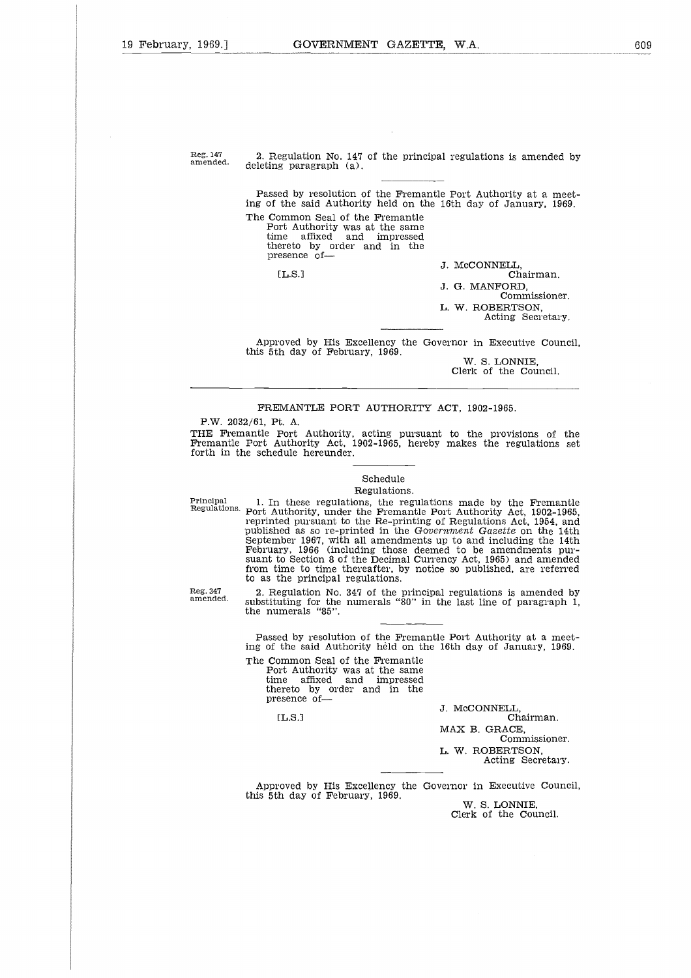$\frac{1909}{2}$ .<br>Reg. 147<br>amended

Reg. 147 2. Regulation No. 147 of the principal regulations is amended by deleting paragraph (a). 2. Regulation No. 147 of the principal regulations is amended by deleting paragraph  $(a)$ .

egulati<br>g para<br>ed by<br>the same<br>mare atto<br>esence<br>[L.S.] Passed by resolution of the Fremantle Port Authority at a meeting of the said Authority held on the 16th day of January, 1969. The Common Seal of the Fremantle Port Authority was at the same time affixed and impressed thereto by order and in the presence of J. McCONNELL.  $[L.S.]$ Chairman.

J. G. MANFORD, Commissioner. L. W. ROBERTSON,

Acting Secretary.

Approved by His Excellency the Governor in Executive Council, this 5th day of February, 1969.

W. S. LONNIE, Clerk of the Council.

### FREMANTLE PORT AUTHORITY ACT, 1902-1965.

P.W. 2032/61, Pt. A.

Reg. 347

amended.

THE Fremantle Port Authority, acting pursuant to the provisions of the Fremantle Port Authority Act, 1902-1965, hereby makes the regulations set forth in the schedule hereunder.

### Schedule

Regulations.

FREMANTLE PORT AUTHORITY ACT, 1902-1965.<br>
P.W. 2032/61, Pt. A.<br>
THE Fremantle Port Authority, acting pursuant to the provisions of the<br>
Fremantle Port Authority Act, 1902-1965, hereby makes the regulations set<br>
forth in th Regulations. Port Authority, under the Fremantle Port Authority Act, 1902-1965, reprinted pursuant to the Re-printing of Regulations Act, 1954, and published as so re-printed in the *Government Gazette* on the 14th September 1967, with all amendments up to and including the 14th February, 1966 (including those deemed to be amendments pursuant to Section 8 of the Decimal Currency Act, 1965) and amended from time to time thereafter, by notice so published, are referred to as the principal regulations. a<br>ii<br>c

2. Regulation No. 347 of the principal regulations is amended by substituting for the numerals "80" in the last line of paragraph 1, the numerals "85".

Passed by resolution of the Fremantle Port Authority at a meeting of the said Authority held on the 16th day of January, 1969.

The Common Seal of the Fremantle Port Authority was at the same time affixed and impressed thereto by order and in the presence ofime to<br>the pregulations<br>using meral:<br>ed by the sample and<br>non-tangence<br>ereto<br>esence<br>[L.S.]

 $IL.S.$ 

J. McCONNELL,

Chairman. MAX B. GRACE, Commissioner. L. W. ROBERTSON, Acting Secretary.

Approved by His Excellency the Governor in Executive Council, this 5th day of February, 1969.

W. S. LONNIE, Clerk of the Council.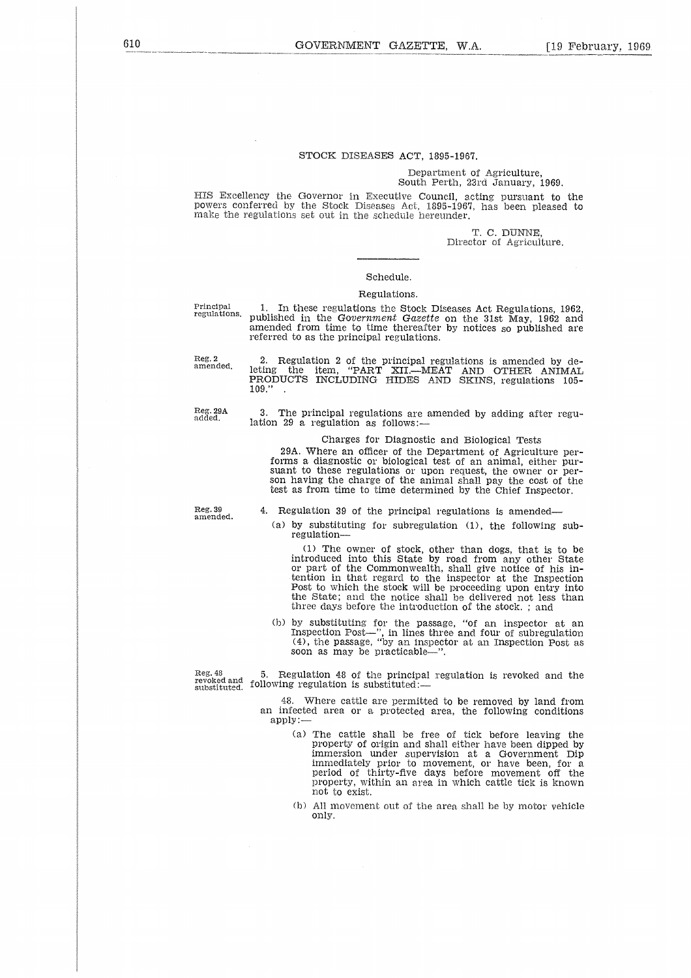### STOCK DISEASES ACT, 1895-1967.

### Department of Agriculture, South Perth, 23rd January, 1969.

HIS Excellency the Governor in Executive Council, acting pursuant to the powers conferred by the Stock Diseases Act, 1895-1967, has been pleased to make the regulations set out in the schedule hereunder.

> T. C. DUNNE, Director of Agriculture.

### Schedule.

### Regulations.

referred to as the principal regulations.

Principal regulations.

Reg. 2 amended.

2. Regulation 2 of the principal regulations is amended by de-leting the item, "PART XII.—MEAT AND OTHER ANIMAL PRODUCTS INCLUDING HIDES AND SKINS, regulations 105 publishe<br>amendee<br>referred<br>2. Reting<br>PRODU<br>109.''

1. In these regulations the Stock Diseases Act Regulations, 1962, published in the *Government Gazette* on the 31st May, 1962 and amended from time to time thereafter by notices so published are

Reg. 29A added.

3. The principal regulations are amended by adding after regulation 29 a regulation as follows:—

Charges for Diagnostic and Biological Tests

29A. Where an officer of the Department of Agriculture performs a diagnostic or biological test of an animal, either pursuant to these regulations or upon request, the owner or person having the charge of the animal shall pay the cost of the test as from time to time determined by the Chief Inspector.

Reg. 39 amended.

4. Regulation 39 of the principal regulations is amended

(a) by substituting for subregulation (1), the following subregulation

(1) The owner of stock, other than dogs, that is to be introduced into this State by road from any other State or part of the Commonwealth, shall give notice of his intention in that regard to the inspector at the Inspection Post to which the stock will be proceeding upon entry into the State; and the notice shall be delivered not less than three days before the introduction of the stock. ; and

(b) by substituting for the passage, "of an inspector at an Inspection Post—", in lines three and four of subregulation (4), the passage, "by an inspector at an Inspection Post as soon as may be practicable—".

Reg. 48 revoked and substituted. 5. Regulation 48 of the principal regulation is revoked and the following regulation is substituted:—

> 48. Where cattle are permitted to be removed by land from an infected area or a protected area, the following conditions apply:—

- (a) The cattle shall be free of tick before leaving the property of origin and shall either have been dipped by immersion under supervision at a Government Dip immediately prior to movement, or have been, for a period of thirty-five days before movement off the property, within an area in which cattle tick is known not to exist.
- (b) All movement nut of the area shall be by motor vehicle only.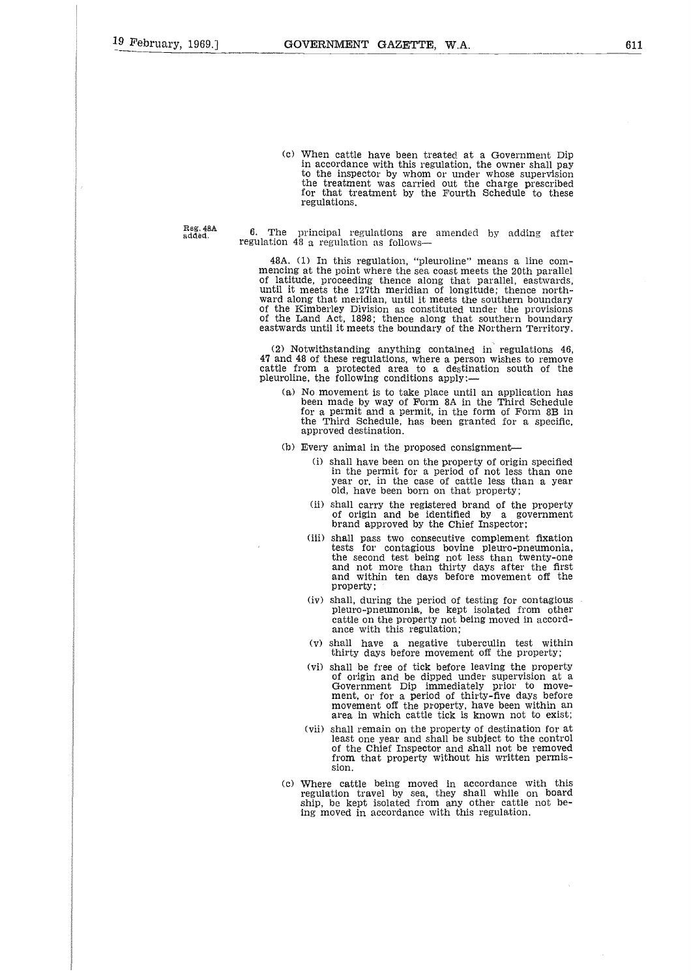(c) When cattle have been treated at a Government Dip in accordance with this regulation, the owner shall pay to the inspector by whom or under whose supervision the treatment was carried out the charge prescribed for that treatment by the Fourth Schedule to these regulations.

Reg. 48A<br>added.

The principal regulations are amended by adding after regulation 48 a regulation as follows-

48A. (1) In this regulation, "pleuroline" means a line commencing at the point where the sea coast meets the 20th parallel of latitude, proceeding thence along that parallel, eastwards, until it meets the 127th meridian of longitude; thence northward along that meridian, until it meets the southern boundary of the Kimberley Division as constituted under the provisions of the Land Act, 1898; thence along that southern boundary eastwards until it meets the boundary of the Northern Territory.

(2) Notwithstanding anything contained in regulations 46, 47 and 48 of these regulations, where a person wishes to remove cattle from a protected area to a destination south of the pleuroline, the following conditions apply:

- (a) No movement is to take place until an application has been made by way of Form 8A in the Third Schedule for a permit and a permit, in the form of Form 8B in the Third Schedule, has been granted for a specific, approved destination.
- (b) Every animal in the proposed consignment-
	- (i) shall have been on the property of origin specified in the permit for a period of not less than one year or. in the case of cattle less than a year old, have been born on that property;
	- (ii) shall carry the registered brand of the property of origin and be identified by a government brand approved by the Chief Inspector;
	- (iii) shall pass two consecutive complement fixation tests for contagious bovine pleuro-pneumonia, the second test being not less than twenty-one and not more than thirty days after the first and within ten days before movement off the property;
	- (iv) shall, during the period of testing for contagious pleuro-pneumonia, be kept isolated from other cattle on the property not being moved in accordance with this regulation;
	- (v) shall have a negative tuberculin test within thirty days before movement off the property;
	- (vi) shall be free of tick before leaving the property of origin and be dipped under supervision at a Government Dip immediately prior to movement, or for a period of thirty-five days before movement off the property, have been within an area in which cattle tick is known not to exist;
	- (vii) shall remain on the property of destination for at least one year and shall be subject to the control of the Chief Inspector and shall not be removed from that property without his written permission.
- (c) Where cattle being moved in accordance with this regulation travel by sea, they shall while on board ship, be kept isolated from any other cattle not being moved in accordance with this regulation.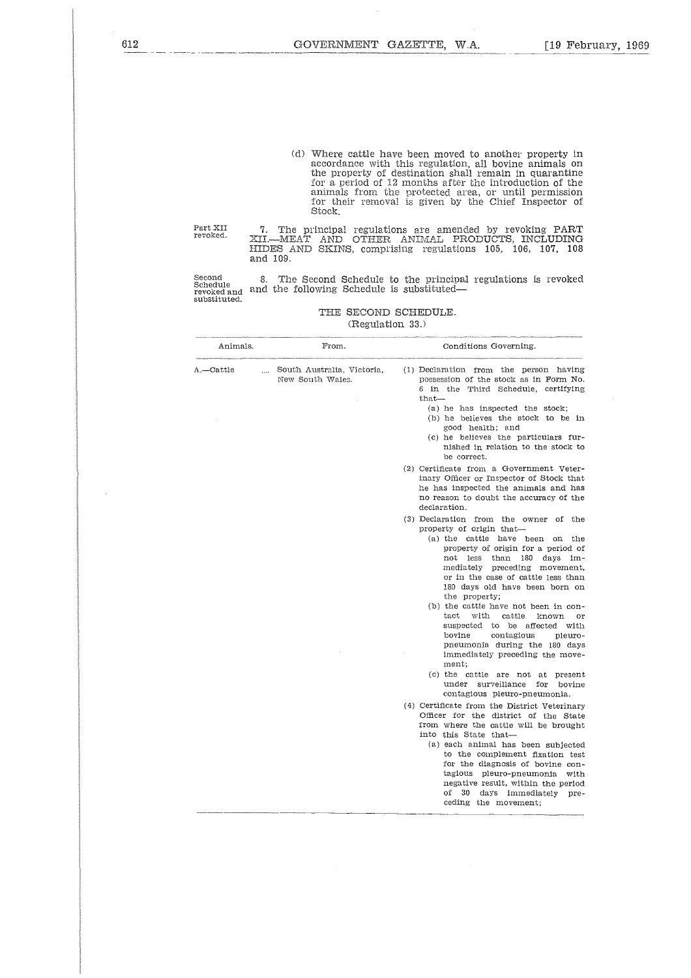(d) Where cattle have been moved to another property in accordance with this regulation, all bovine animals on the property of destination shall remain in quarantine for a period of 12 months after the introduction of the animals from the protected area, or until permission for their removal is given by the Chief Inspector of Stock.

### THE SECOND SCHEDULE. (Regulation 33.)

| Part XII<br>revoked.                              | 7.<br>XII.—MEAT<br>HIDES AND SKINS, comprising regulations 105,<br>and 109. | The principal regulations are amended by revoking PART<br>AND OTHER ANIMAL PRODUCTS, INCLUDING<br>106, 107.<br>108                                                                                                                                                                                                                                                                                                                                                                                                                                                                                                                                                                                                                                                                                                                                                                                                                                                                                                                                                                                                                                                                                                                                                                                                                                                                                                                                                                                                                                                                                 |
|---------------------------------------------------|-----------------------------------------------------------------------------|----------------------------------------------------------------------------------------------------------------------------------------------------------------------------------------------------------------------------------------------------------------------------------------------------------------------------------------------------------------------------------------------------------------------------------------------------------------------------------------------------------------------------------------------------------------------------------------------------------------------------------------------------------------------------------------------------------------------------------------------------------------------------------------------------------------------------------------------------------------------------------------------------------------------------------------------------------------------------------------------------------------------------------------------------------------------------------------------------------------------------------------------------------------------------------------------------------------------------------------------------------------------------------------------------------------------------------------------------------------------------------------------------------------------------------------------------------------------------------------------------------------------------------------------------------------------------------------------------|
| Second<br>Schedule<br>revoked and<br>substituted. | 8.<br>and the following Schedule is substituted—                            | The Second Schedule to the principal regulations is revoked                                                                                                                                                                                                                                                                                                                                                                                                                                                                                                                                                                                                                                                                                                                                                                                                                                                                                                                                                                                                                                                                                                                                                                                                                                                                                                                                                                                                                                                                                                                                        |
|                                                   | THE SECOND SCHEDULE.<br>(Regulation 33.)                                    |                                                                                                                                                                                                                                                                                                                                                                                                                                                                                                                                                                                                                                                                                                                                                                                                                                                                                                                                                                                                                                                                                                                                                                                                                                                                                                                                                                                                                                                                                                                                                                                                    |
| Animals.                                          | From.                                                                       | Conditions Governing.                                                                                                                                                                                                                                                                                                                                                                                                                                                                                                                                                                                                                                                                                                                                                                                                                                                                                                                                                                                                                                                                                                                                                                                                                                                                                                                                                                                                                                                                                                                                                                              |
| A.—Cattle                                         | South Australia, Victoria,<br>New South Wales.                              | (1) Declaration from the person having<br>possession of the stock as in Form No.<br>6 in the Third Schedule, certifying<br>that-<br>(a) he has inspected the stock;<br>(b) he believes the stock to be in<br>good health; and<br>(c) he believes the particulars fur-<br>nished in relation to the stock to<br>be correct.<br>(2) Certificate from a Government Veter-<br>inary Officer or Inspector of Stock that<br>he has inspected the animals and has<br>no reason to doubt the accuracy of the<br>declaration.<br>(3) Declaration from the owner of the<br>property of origin that-<br>(a) the cattle have been on the<br>property of origin for a period of<br>not less<br>than 180 days<br>im-<br>mediately preceding movement,<br>or in the case of cattle less than<br>180 days old have been born on<br>the property;<br>(b) the cattle have not been in con-<br>tact<br>with<br>cattle<br>known<br>$\alpha r$<br>suspected to be affected with<br>bovine<br>contagious<br>pleuro-<br>pneumonia during the 180 days<br>immediately preceding the move-<br>ment:<br>(c) the cattle are not at present<br>under surveillance for<br>bovine<br>contagious pleuro-pneumonia.<br>(4) Certificate from the District Veterinary<br>Officer for the district of the State<br>from where the cattle will be brought<br>into this State that-<br>(a) each animal has been subjected<br>to the complement fixation test<br>for the diagnosis of bovine con-<br>tagious pleuro-pneumonia with<br>negative result, within the period<br>оf<br>30<br>days immediately<br>pre-<br>ceding the movement; |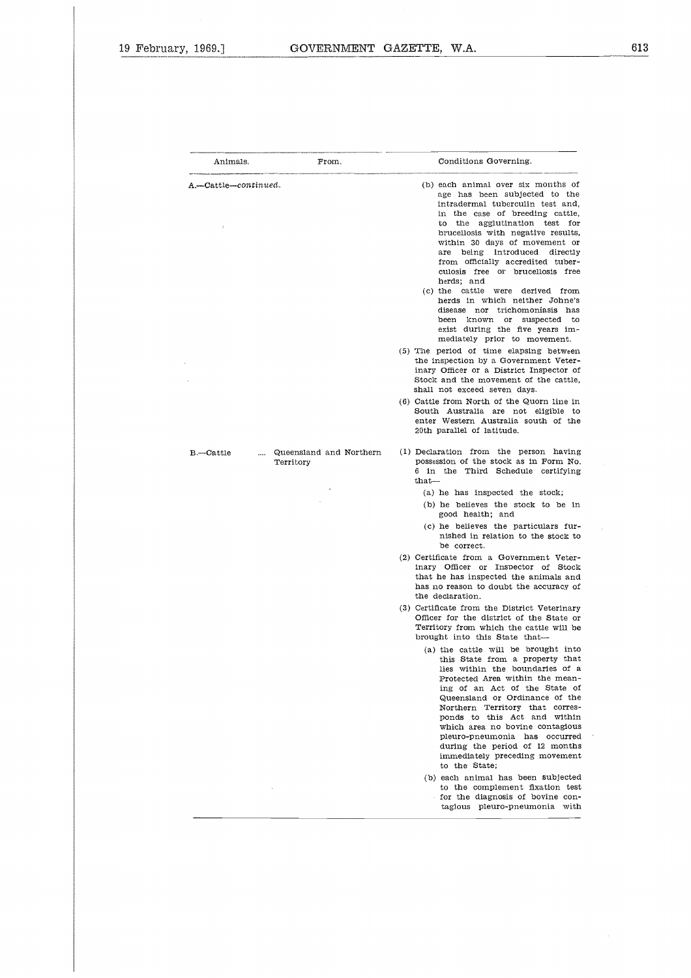$\hat{\boldsymbol{\epsilon}}$ 

| 7, 1969.]                |                         | GOVERNMENT GAZETTE, W.A.                                                                                                                                                                                                                                                                                                                                                                                                                                                                                                                                                                                                                                                                                                                                                                                                                                                                                                                                                              |
|--------------------------|-------------------------|---------------------------------------------------------------------------------------------------------------------------------------------------------------------------------------------------------------------------------------------------------------------------------------------------------------------------------------------------------------------------------------------------------------------------------------------------------------------------------------------------------------------------------------------------------------------------------------------------------------------------------------------------------------------------------------------------------------------------------------------------------------------------------------------------------------------------------------------------------------------------------------------------------------------------------------------------------------------------------------|
|                          |                         |                                                                                                                                                                                                                                                                                                                                                                                                                                                                                                                                                                                                                                                                                                                                                                                                                                                                                                                                                                                       |
| Animals.                 | From.                   | Conditions Governing.                                                                                                                                                                                                                                                                                                                                                                                                                                                                                                                                                                                                                                                                                                                                                                                                                                                                                                                                                                 |
| A.—Cattle—continued.     |                         | (b) each animal over six months of<br>age has been subjected to the<br>intradermal tuberculin test and,<br>in the case of breeding cattle,<br>agglutination test<br>$t$ he<br>for<br>to<br>brucellosis with negative results,<br>within 30 days of movement or<br>being<br>introduced directly<br>are<br>from officially accredited tuber-<br>culosis free or brucellosis free<br>herds; and<br>(c) the cattle were derived from<br>herds in which neither Johne's<br>disease nor trichomoniasis has<br>been known<br>$\alpha$<br>suspected to<br>exist during the five years im-<br>mediately prior to movement.<br>(5) The period of time elapsing between<br>the inspection by a Government Veter-<br>inary Officer or a District Inspector of<br>Stock and the movement of the cattle,<br>shall not exceed seven days.<br>(6) Cattle from North of the Quorn line in<br>South Australia are not eligible to<br>enter Western Australia south of the<br>20th parallel of latitude. |
| $B$ -Cattle<br>Territory | Queensland and Northern | (1) Declaration from the person having<br>possession of the stock as in Form No.<br>6 in the Third Schedule certifying<br>$that-$<br>(a) he has inspected the stock;<br>(b) he believes the stock to be in<br>good health; and<br>(c) he believes the particulars fur-<br>nished in relation to the stock to                                                                                                                                                                                                                                                                                                                                                                                                                                                                                                                                                                                                                                                                          |
|                          |                         | be correct.<br>(2) Certificate from a Government Veter-<br>inary Officer or Inspector of Stock<br>that he has inspected the animals and<br>has no reason to doubt the accuracy of<br>the declaration.                                                                                                                                                                                                                                                                                                                                                                                                                                                                                                                                                                                                                                                                                                                                                                                 |
|                          |                         | (3) Certificate from the District Veterinary<br>Officer for the district of the State or<br>Territory from which the cattle will be<br>brought into this State that-<br>(a) the cattle will be brought into<br>this State from a property that<br>lies within the boundaries of a<br>Protected Area within the mean-<br>ing of an Act of the State of<br>Queensland or Ordinance of the<br>Northern Territory that corres-<br>ponds to this Act and within<br>which area no bovine contagious<br>pleuro-pneumonia has occurred<br>during the period of 12 months<br>immediately preceding movement<br>to the State;<br>(b) each animal has been subjected                                                                                                                                                                                                                                                                                                                             |
|                          |                         | to the complement fixation test<br>for the diagnosis of bovine con-<br>tagious pleuro-pneumonia with                                                                                                                                                                                                                                                                                                                                                                                                                                                                                                                                                                                                                                                                                                                                                                                                                                                                                  |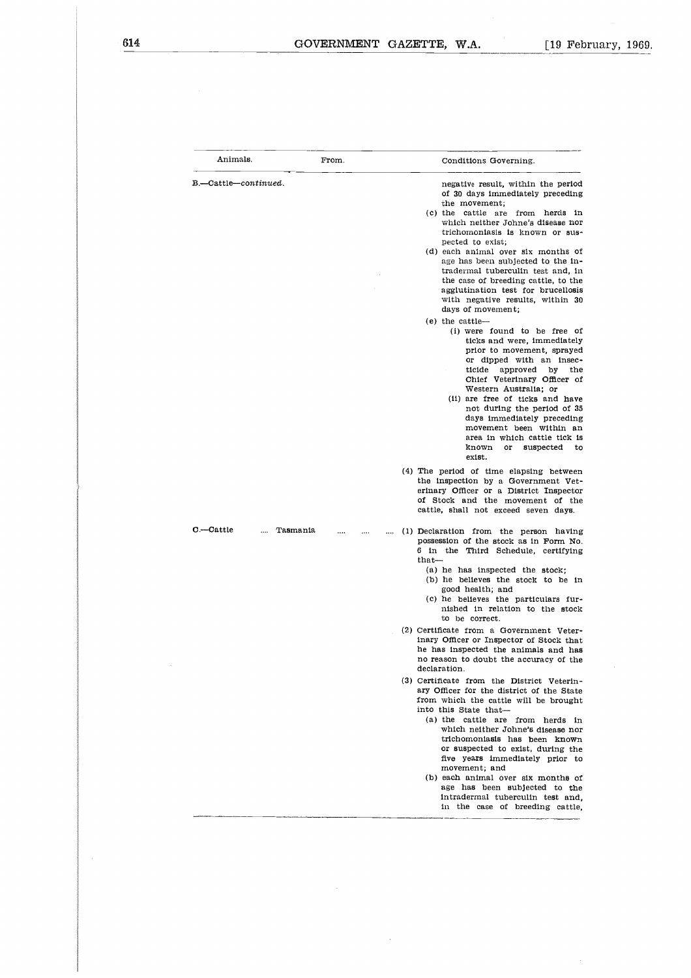$\bar{z}$ 

 $\hat{\boldsymbol{\beta}}$ 

|                       |          | GOVERNMENT GAZETTE, W.A.<br>$[19$ Febr                                                                                                                                                                                                                                                                                                                                                                                                                                                                                                                                                                                                                                                                                                                                                                                                                                                                                                                                                                                                                                                                                                  |
|-----------------------|----------|-----------------------------------------------------------------------------------------------------------------------------------------------------------------------------------------------------------------------------------------------------------------------------------------------------------------------------------------------------------------------------------------------------------------------------------------------------------------------------------------------------------------------------------------------------------------------------------------------------------------------------------------------------------------------------------------------------------------------------------------------------------------------------------------------------------------------------------------------------------------------------------------------------------------------------------------------------------------------------------------------------------------------------------------------------------------------------------------------------------------------------------------|
|                       |          |                                                                                                                                                                                                                                                                                                                                                                                                                                                                                                                                                                                                                                                                                                                                                                                                                                                                                                                                                                                                                                                                                                                                         |
| Animals.              | From.    | Conditions Governing.                                                                                                                                                                                                                                                                                                                                                                                                                                                                                                                                                                                                                                                                                                                                                                                                                                                                                                                                                                                                                                                                                                                   |
| B.-Cattle-continued.  |          | negative result, within the period<br>of 30 days immediately preceding<br>the movement;<br>(c) the cattle are from herds in<br>which neither Johne's disease nor<br>trichomoniasis is known or sus-<br>pected to exist;<br>(d) each animal over six months of<br>age has been subjected to the in-<br>tradermal tuberculin test and, in<br>the case of breeding cattle, to the<br>agglutination test for brucellosis<br>with negative results, within 30<br>days of movement;<br>$(e)$ the cattle--<br>(i) were found to be free of<br>ticks and were, immediately<br>prior to movement, sprayed<br>or dipped with an insec-<br>ticide<br>approved<br>by<br>the<br>Chief Veterinary Officer of<br>Western Australia: or<br>(ii) are free of ticks and have<br>not during the period of 35<br>days immediately preceding<br>movement been within an<br>area in which cattle tick is<br>known<br>or<br>suspected<br>to<br>exist.<br>(4) The period of time elapsing between<br>the inspection by a Government Vet-<br>erinary Officer or a District Inspector<br>of Stock and the movement of the<br>cattle, shall not exceed seven days. |
| C.—Cattle<br>$\cdots$ | Tasmania | (1) Declaration from the person having<br>possession of the stock as in Form No.<br>6 in the Third Schedule, certifying<br>$_{\text{that}}$<br>(a) he has inspected the stock;<br>(b) he believes the stock to be in<br>good health; and<br>(c) he believes the particulars fur-<br>nished in relation to the stock<br>to be correct.<br>(2) Certificate from a Government Veter-<br>inary Officer or Inspector of Stock that<br>he has inspected the animals and has<br>no reason to doubt the accuracy of the<br>declaration.<br>(3) Certificate from the District Veterin-<br>ary Officer for the district of the State<br>from which the cattle will be brought<br>into this State that-<br>(a) the cattle are from herds in<br>which neither Johne's disease nor<br>trichomoniasis has been known<br>or suspected to exist, during the<br>five years immediately prior to<br>movement; and<br>(b) each animal over six months of<br>age has been subjected to the<br>intradermal tuberculin test and,<br>in the case of breeding cattle.                                                                                           |

J.

 $\ddot{\phantom{a}}$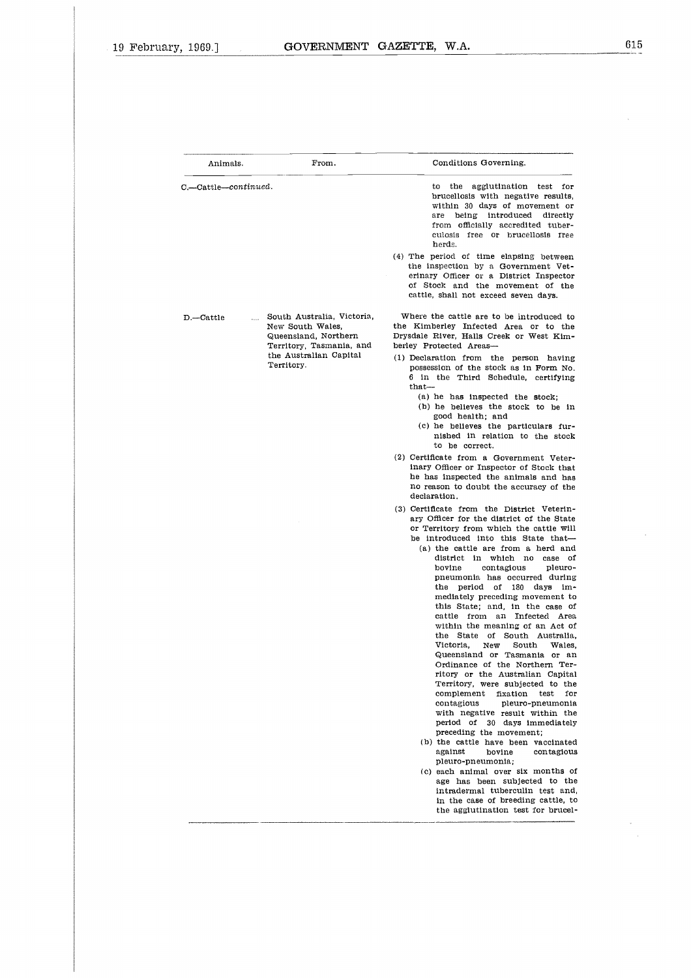$\bar{\mathcal{L}}$ 

 $\epsilon$ 

 $\sim$  $\hat{\mathcal{A}}$ 

| Animals.                 | From.                                                                                             | Conditions Governing.                                                                                                                                                                                                                                                                                                                                                                                                                                                                                                                                                                                                                                                                                                                                                                                                                                                |
|--------------------------|---------------------------------------------------------------------------------------------------|----------------------------------------------------------------------------------------------------------------------------------------------------------------------------------------------------------------------------------------------------------------------------------------------------------------------------------------------------------------------------------------------------------------------------------------------------------------------------------------------------------------------------------------------------------------------------------------------------------------------------------------------------------------------------------------------------------------------------------------------------------------------------------------------------------------------------------------------------------------------|
| C.-Cattle-continued.     |                                                                                                   | the agglutination test for<br>to<br>brucellosis with negative results.<br>within 30 days of movement or<br>being introduced directly<br>are<br>from officially accredited tuber-<br>culosis free or brucellosis free<br>herds.<br>(4) The period of time elapsing between                                                                                                                                                                                                                                                                                                                                                                                                                                                                                                                                                                                            |
|                          |                                                                                                   | the inspection by a Government Vet-<br>erinary Officer or a District Inspector<br>of Stock and the movement of the<br>cattle, shall not exceed seven days.                                                                                                                                                                                                                                                                                                                                                                                                                                                                                                                                                                                                                                                                                                           |
| $D$ - Cattle<br>$\cdots$ | South Australia, Victoria,<br>New South Wales,<br>Queensland Northern<br>Territory, Tasmania, and | Where the cattle are to be introduced to<br>the Kimberley Infected Area or to the<br>Drysdale River, Halls Creek or West Kim-<br>berley Protected Areas-                                                                                                                                                                                                                                                                                                                                                                                                                                                                                                                                                                                                                                                                                                             |
|                          | the Australian Capital<br>Territory.                                                              | (1) Declaration from the person having<br>possession of the stock as in Form No.<br>6 in the Third Schedule, certifying<br>$that -$<br>(a) he has inspected the stock;<br>(b) he believes the stock to be in<br>good health; and<br>(c) he believes the particulars fur-<br>nished in relation to the stock                                                                                                                                                                                                                                                                                                                                                                                                                                                                                                                                                          |
|                          |                                                                                                   | to be correct.<br>(2) Certificate from a Government Veter-<br>inary Officer or Inspector of Stock that<br>he has inspected the animals and has<br>no reason to doubt the accuracy of the<br>declaration.                                                                                                                                                                                                                                                                                                                                                                                                                                                                                                                                                                                                                                                             |
|                          |                                                                                                   | (3) Certificate from the District Veterin-<br>ary Officer for the district of the State<br>or Territory from which the cattle Will<br>be introduced into this State that-<br>(a) the cattle are from a herd and<br>district in which no<br>case of<br>contagious<br>pleuro-<br>bovine<br>pneumonia has occurred during<br>period of<br>180 days<br>the<br>im-<br>mediately preceding movement to<br>this State; and, in the case of<br>cattle from an Infected Area<br>within the meaning of an Act of<br>the State of South Australia,<br>Victoria,<br>New<br>South<br>Wales.<br>Queensland or Tasmania or an<br>Ordinance of the Northern Ter-<br>ritory or the Australian Capital<br>Territory, were subjected to the<br>complement fixation<br>test<br>for<br>contagious<br>pleuro-pneumonia<br>with negative result within the<br>period of 30 days immediately |
|                          |                                                                                                   | preceding the movement;<br>(b) the cattle have been vaccinated<br>against<br>bovine<br>contagious<br>pleuro-pneumonia;<br>(c) each animal over six months of                                                                                                                                                                                                                                                                                                                                                                                                                                                                                                                                                                                                                                                                                                         |
|                          |                                                                                                   | age has been subjected to the<br>intradermal tuberculin test and,<br>in the case of breeding cattle, to<br>the agglutination test for brucel-                                                                                                                                                                                                                                                                                                                                                                                                                                                                                                                                                                                                                                                                                                                        |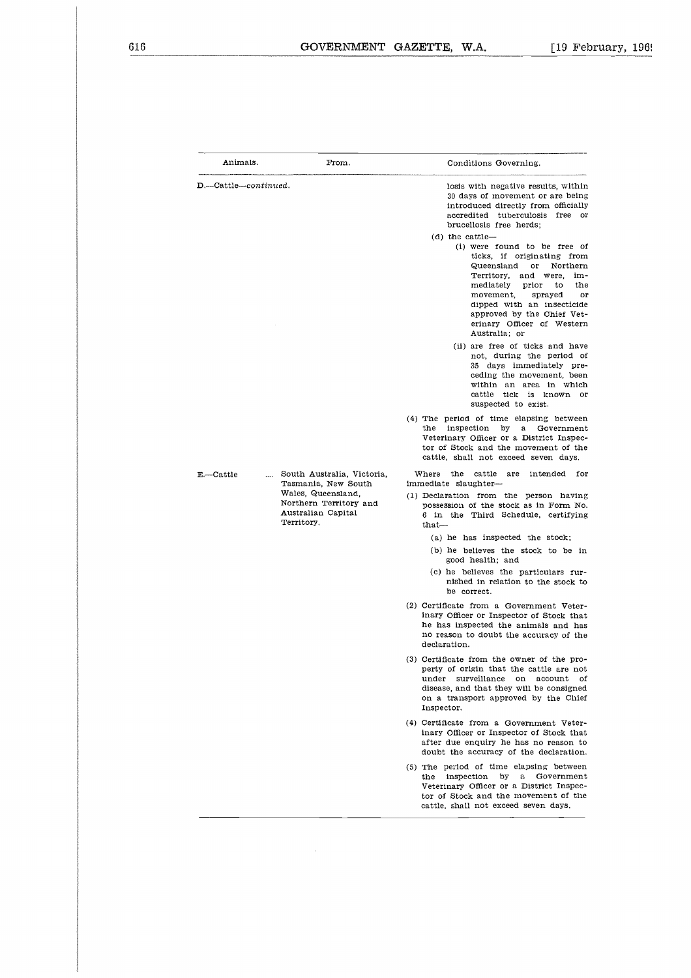|                                                                                                                                                    | GOVERNMENT GAZETTE, W.A.<br>$\lceil 19 \rceil$ Febi                                                                                                                                                                                                                                                                           |
|----------------------------------------------------------------------------------------------------------------------------------------------------|-------------------------------------------------------------------------------------------------------------------------------------------------------------------------------------------------------------------------------------------------------------------------------------------------------------------------------|
|                                                                                                                                                    |                                                                                                                                                                                                                                                                                                                               |
| Animals.<br>From.                                                                                                                                  | Conditions Governing.                                                                                                                                                                                                                                                                                                         |
| $D$ .--Cattle-continued.                                                                                                                           | losis with negative results, within<br>30 days of movement or are being<br>introduced directly from officially<br>accredited tuberculosis free or<br>brucellosis free herds;                                                                                                                                                  |
|                                                                                                                                                    | $(d)$ the cattle-<br>(i) were found to be free of<br>ticks, if originating from<br>Queensland<br>Northern<br>or<br>Territory,<br>and were,<br>im-<br>mediately<br>prior<br>the<br>to<br>movement,<br>sprayed<br>or<br>dipped with an insecticide<br>approved by the Chief Vet-<br>erinary Officer of Western<br>Australia: or |
|                                                                                                                                                    | (ii) are free of ticks and have<br>not, during the period of<br>35 days immediately pre-<br>ceding the movement, been<br>within an area in which<br>cattle tick is known or<br>suspected to exist.                                                                                                                            |
|                                                                                                                                                    | (4) The period of time elapsing between<br>the<br>inspection by<br>a<br>Government<br>Veterinary Officer or a District Inspec-<br>tor of Stock and the movement of the<br>cattle, shall not exceed seven days.                                                                                                                |
| South Australia, Victoria,<br>E.-Cattle<br>Tasmania, New South<br>Wales, Queensland,<br>Northern Territory and<br>Australian Capital<br>Territory. | Where<br>the<br>cattle<br>are<br>intended<br>for<br>immediate slaughter-<br>(1) Declaration from the person having<br>possession of the stock as in Form No.<br>6 in the Third Schedule, certifying<br>that-                                                                                                                  |
|                                                                                                                                                    | (a) he has inspected the stock;<br>(b) he believes the stock to be in<br>good health; and                                                                                                                                                                                                                                     |
|                                                                                                                                                    | (c) he believes the particulars fur-<br>nished in relation to the stock to<br>be correct.                                                                                                                                                                                                                                     |
|                                                                                                                                                    | (2) Certificate from a Government Veter-<br>inary Officer or Inspector of Stock that<br>he has inspected the animals and has<br>no reason to doubt the accuracy of the<br>declaration.                                                                                                                                        |
|                                                                                                                                                    | (3) Certificate from the owner of the pro-<br>perty of origin that the cattle are not<br>surveillance<br>account<br>under<br>on<br>οf<br>disease, and that they will be consigned<br>on a transport approved by the Chief<br>Inspector.                                                                                       |
|                                                                                                                                                    | (4) Certificate from a Government Veter-<br>inary Officer or Inspector of Stock that<br>after due enquiry he has no reason to<br>doubt the accuracy of the declaration.                                                                                                                                                       |
|                                                                                                                                                    | (5) The period of time elapsing between<br>inspection<br>by<br>a<br>Government<br>the<br>Veterinary Officer or a District Inspec-<br>tor of Stock and the movement of the<br>cattle, shall not exceed seven days.                                                                                                             |

 $\mathcal{A}^{\mathcal{A}}$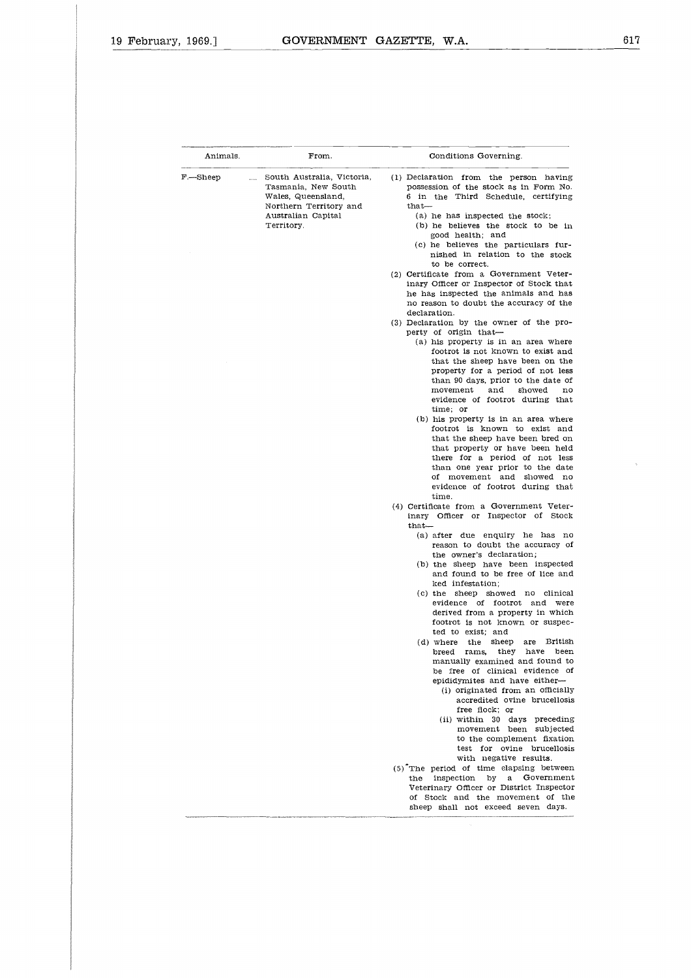ķ

| Animals. | From.                                                                                                                                             | Conditions Governing.                                                                                                                                                                                                                                                                                                                                                           |  |  |  |
|----------|---------------------------------------------------------------------------------------------------------------------------------------------------|---------------------------------------------------------------------------------------------------------------------------------------------------------------------------------------------------------------------------------------------------------------------------------------------------------------------------------------------------------------------------------|--|--|--|
| F.—Sheep | South Australia, Victoria,<br>$\cdots$<br>Tasmania, New South<br>Wales, Queensland,<br>Northern Territory and<br>Australian Capital<br>Territory. | (1) Declaration from the person having<br>possession of the stock as in Form No.<br>6 in the Third Schedule, certifying<br>$_{\rm that-}$<br>(a) he has inspected the stock;<br>(b) he believes the stock to be in<br>good health; and<br>(c) he believes the particulars fur-<br>nished in relation to the stock<br>to be correct.<br>(2) Certificate from a Government Veter- |  |  |  |
|          |                                                                                                                                                   | inary Officer or Inspector of Stock that<br>he has inspected the animals and has<br>no reason to doubt the accuracy of the<br>declaration.                                                                                                                                                                                                                                      |  |  |  |
|          |                                                                                                                                                   | (3) Declaration by the owner of the pro-<br>perty of origin that-<br>(a) his property is in an area where<br>footrot is not known to exist and<br>that the sheep have been on the<br>property for a period of not less<br>than 90 days, prior to the date of                                                                                                                    |  |  |  |
|          |                                                                                                                                                   | movement<br>and<br>showed<br>no<br>evidence of footrot during that<br>time: or<br>(b) his property is in an area where<br>footrot is known to exist and                                                                                                                                                                                                                         |  |  |  |
|          |                                                                                                                                                   | that the sheep have been bred on<br>that property or have been held<br>there for a period of not less<br>than one year prior to the date<br>of movement and showed no<br>evidence of footrot during that<br>time.                                                                                                                                                               |  |  |  |
|          |                                                                                                                                                   | (4) Certificate from a Government Veter-<br>inary Officer or Inspector of Stock<br>$_{\rm that-}$<br>(a) after due enquiry he has no                                                                                                                                                                                                                                            |  |  |  |
|          |                                                                                                                                                   | reason to doubt the accuracy of<br>the owner's declaration;<br>(b) the sheep have been inspected<br>and found to be free of lice and                                                                                                                                                                                                                                            |  |  |  |
|          |                                                                                                                                                   | ked infestation;<br>(c) the sheep showed no clinical<br>evidence of footrot and were<br>derived from a property in which<br>footrot is not known or suspec-                                                                                                                                                                                                                     |  |  |  |
|          |                                                                                                                                                   | ted to exist; and<br>British<br>(d) where<br>the<br>sheep<br>are<br>rams,<br>they<br>have<br>been<br>breed<br>manually examined and found to<br>be free of clinical evidence of                                                                                                                                                                                                 |  |  |  |
|          |                                                                                                                                                   | epididymites and have either-<br>(i) originated from an officially<br>accredited ovine brucellosis<br>free flock; or<br>(ii) within 30 days preceding                                                                                                                                                                                                                           |  |  |  |
|          |                                                                                                                                                   | movement been subjected<br>to the complement fixation<br>test for ovine brucellosis<br>with negative results.                                                                                                                                                                                                                                                                   |  |  |  |
|          |                                                                                                                                                   | (5) The period of time elapsing between<br>the inspection by a Government<br>Veterinary Officer or District Inspector<br>of Stock and the movement of the<br>sheep shall not exceed seven days.                                                                                                                                                                                 |  |  |  |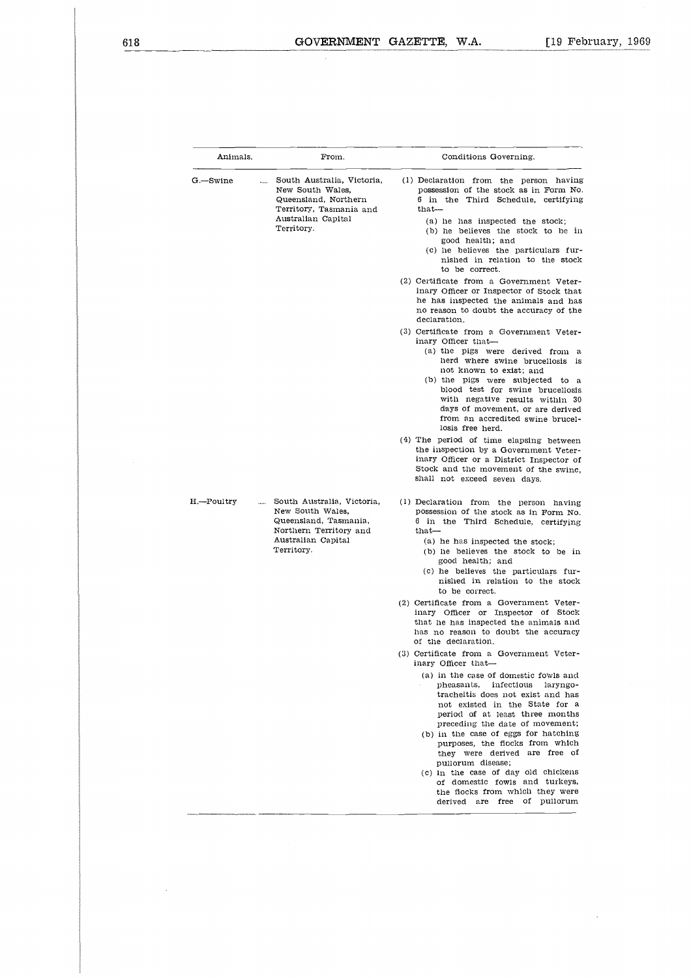l.

|                             | GOVERNMENT GAZETTE.                                                                                                                   | W.A.<br>[19 Feb                                                                                                                                                                                                                                                                                                                                                                                                                                                                                                                                                                                                                                                                                                                                                                                                                                                                                                                                                                                                                                                                                                              |
|-----------------------------|---------------------------------------------------------------------------------------------------------------------------------------|------------------------------------------------------------------------------------------------------------------------------------------------------------------------------------------------------------------------------------------------------------------------------------------------------------------------------------------------------------------------------------------------------------------------------------------------------------------------------------------------------------------------------------------------------------------------------------------------------------------------------------------------------------------------------------------------------------------------------------------------------------------------------------------------------------------------------------------------------------------------------------------------------------------------------------------------------------------------------------------------------------------------------------------------------------------------------------------------------------------------------|
|                             |                                                                                                                                       |                                                                                                                                                                                                                                                                                                                                                                                                                                                                                                                                                                                                                                                                                                                                                                                                                                                                                                                                                                                                                                                                                                                              |
| Animals.                    | From.                                                                                                                                 | Conditions Governing.                                                                                                                                                                                                                                                                                                                                                                                                                                                                                                                                                                                                                                                                                                                                                                                                                                                                                                                                                                                                                                                                                                        |
| G.—Swine<br>$\cdots$        | South Australia, Victoria,<br>New South Wales,<br>Queensland, Northern<br>Territory, Tasmania and<br>Australian Capital<br>Territory. | (1) Declaration from the person having<br>possession of the stock as in Form No.<br>6 in the Third Schedule, certifying<br>that-<br>(a) he has inspected the stock;<br>(b) he believes the stock to be in<br>good health; and<br>(c) he believes the particulars fur-<br>nished in relation to the stock<br>to be correct.<br>(2) Certificate from a Government Veter-<br>inary Officer or Inspector of Stock that<br>he has inspected the animals and has<br>no reason to doubt the accuracy of the<br>declaration.<br>(3) Certificate from a Government Veter-<br>inary Officer that-<br>(a) the pigs were derived from a<br>herd where swine brucellosis is<br>not known to exist; and<br>(b) the pigs were subjected to a<br>blood test for swine brucellosis<br>with negative results within 30<br>days of movement, or are derived<br>from an accredited swine brucel-<br>losis free herd.<br>(4) The period of time elapsing between<br>the inspection by a Government Veter-<br>inary Officer or a District Inspector of<br>Stock and the movement of the swine.                                                     |
| H.--Poultry<br>$\mathbf{r}$ | South Australia, Victoria,<br>New South Wales,<br>Queensland, Tasmania,<br>Northern Territory and<br>Australian Capital<br>Territory. | shall not exceed seven days.<br>(1) Declaration from the person having<br>possession of the stock as in Form No.<br>6 in the Third Schedule, certifying<br>that—<br>(a) he has inspected the stock;<br>(b) he believes the stock to be in<br>good health; and<br>(c) he believes the particulars fur-<br>nished in relation to the stock<br>to be correct.<br>(2) Certificate from a Government Veter-<br>inary Officer or Inspector of Stock<br>that he has inspected the animals and<br>has no reason to doubt the accuracy<br>of the declaration.<br>(3) Certificate from a Government Veter-<br>inary Officer that-<br>(a) in the case of domestic fowls and<br>pheasants, infectious laryngo-<br>tracheitis does not exist and has<br>not existed in the State for a<br>period of at least three months<br>preceding the date of movement;<br>(b) in the case of eggs for hatching<br>purposes, the flocks from which<br>they were derived are free of<br>pullorum disease;<br>(c) in the case of day old chickens<br>of domestic fowls and turkeys,<br>the flocks from which they were<br>derived are free of pullorum |

J.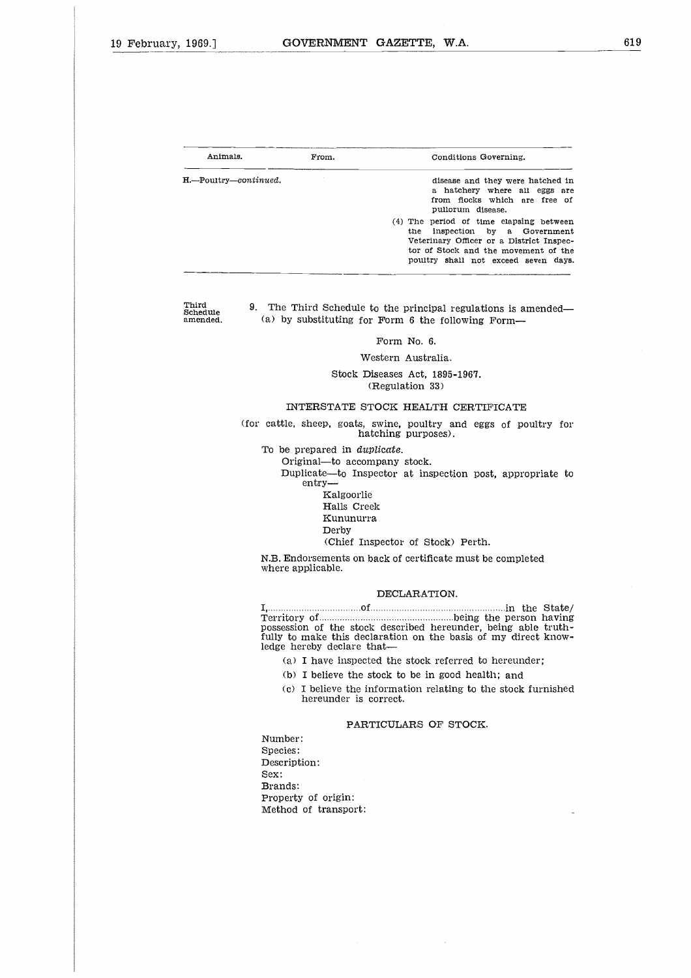| 1969.7                | GOVERNMENT GAZETTE, W.A. |     |                                                                                                                                                                                                   |
|-----------------------|--------------------------|-----|---------------------------------------------------------------------------------------------------------------------------------------------------------------------------------------------------|
|                       |                          |     |                                                                                                                                                                                                   |
|                       |                          |     |                                                                                                                                                                                                   |
|                       |                          |     |                                                                                                                                                                                                   |
|                       |                          |     |                                                                                                                                                                                                   |
| Animals.              | From.                    |     | Conditions Governing.                                                                                                                                                                             |
| H.—Poultry—continued. |                          |     | disease and they were hatched in<br>a hatchery where all eggs are<br>from flocks which are free of<br>pullorum disease.                                                                           |
|                       |                          | the | (4) The period of time elapsing between<br>inspection by a Government<br>Veterinary Officer or a District Inspec-<br>tor of Stock and the movement of the<br>poultry shall not exceed seven days. |

Third Schedule amended. 9. The Third Schedule to the principal regulations is amended— (a) by substituting for Form 6 the following Form

Form No. 6.

Western Australia.

Stock Diseases Act, 1895-1967. (Regulation 33)

### INTERSTATE STOCK HEALTH CERTIFICATE

(for cattle, sheep, goats, swine, poultry and eggs of poultry for hatching purposes).

To be prepared in *duplicate.*

Original—to accompany stock.

- Duplicate—to Inspector at inspection post, appropriate to entry
	- Kalgoorlie Halls Creek
	- Kununurra
	- Derby

(Chief Inspector of Stock) Perth.

N.B. Endorsements on back of certificate must be completed where applicable.

### DECLARATION.

.]<br>h<br>e:<br>d of in the State/ Duplicate—to Inspector at inspection post, appropriate to<br>
entry—<br>
Kalgoorlie<br>
Halls Creek<br>
Kununurra<br>
Derby<br>
(Chief Inspector of Stock) Perth.<br>
N.B. Endorsements on back of certificate must be completed<br>
where applicable. possession of the stock described hereunder, being able truthfully to make this declaration on the basis of my direct knowledge hereby declare that-

- (a) I have inspected the stock referred to hereunder;
- (b) I believe the stock to be in good health; and
- (c) I believe the information relating to the stock furnished hereunder is correct.

### PARTICULARS OF STOCK.

Number: Species: Description: Sex: Brands: Property of origin: Method of transport: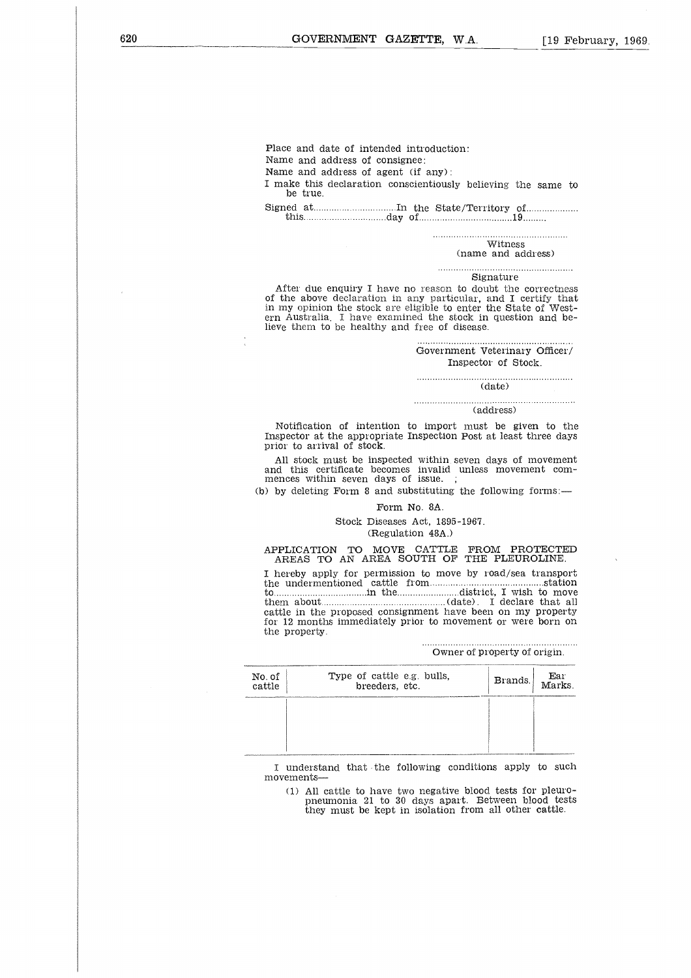Place and date of intended introduction:

Name and address of consignee:

Name and address of agent (if any) :

I make this declaration conscientiously believing the same to be true. e an<br>ne an<br>ne the the da<br>ed a<br>this... |<br>|<br>| 1<br>| .. 19  $\ddot{a}$ 

Signed at In the State/Territory of day of

Witness

(name and address)

Signature . . . . . . . . . . . . . .

After due enquiry I have no reason to doubt the correctness of the above declaration in any particular, and I certify that in my opinion the stock are eligible to enter the State of Western Australia. I have examined the stock in question and believe them to be healthy and free of disease.

> Government Veterinary Officer/ Inspector of Stock.

 $\frac{1}{\text{(date)}}$ 

(address)

Notification of intention to import must be given to the Inspector at the appropriate Inspection Post at least three days prior to arrival of stock.

All stock must be inspected within seven days of movement and this certificate becomes invalid unless movement com-mences within seven days of issue. ;

(b) by deleting Form 8 and substituting the following forms:—

### Form No. 8A.

Stock Diseases Act, 1895-1967. (Regulation 48A.)

APPLICATION TO MOVE CATTLE FROM PROTECTED AREAS TO AN AREA SOUTH OF THE PLEUROLINE.

I hereby apply for permission to move by road/sea transport This<br>proced a unit appropriate inspection Fost at least three days<br>prior to arrival of stock.<br>All stock must be inspected within seven days of movement com-<br>mences within seven days of issue.;<br>
(b) by deleting Form 8 and s All stock must be inspected within seven days of movement<br>and this certificate becomes invalid unless movement com-<br>amences within seven days of issue.<br>
() by deleting Form 8 and substituting the following forms:—<br>
Form N All stock must be inspected within seven days of movement<br>
and this certificate becomes invalid unless movement com-<br>
mences within seven days of issue.<br>
(b) by deleting Form 8 and substituting the following forms:—<br>
Form cattle in the proposed consignment have been on my property for 12 months immediately prior to movement or were born on the property.

Owner of property of origin.

| No. of<br>cattle | Type of cattle e.g. bulls,<br>breeders, etc. | Brands. Marks | Ear |
|------------------|----------------------------------------------|---------------|-----|
|                  |                                              |               |     |
|                  |                                              |               |     |

I understand that the following conditions apply to such movements

(1) All cattle to have two negative blood tests for pleuropneumonia 21 to 30 days apart. Between blood tests they must be kept in isolation from all other cattle.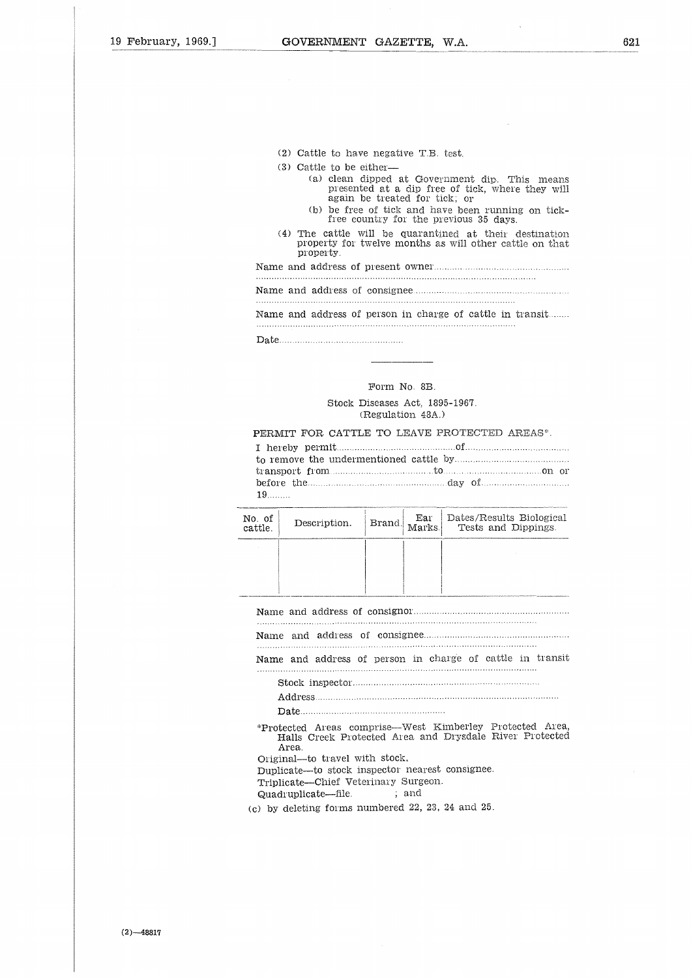- (2) Cattle to have negative T.B. test.
- (3) Cattle to be either
- (a) clean dipped at Government dip. This means presented at a dip free of tick, where they will again be treated for tick; or
	- (b) be free of tick and have been running on tick-free country for the previous 35 days.
- (4) The cattle will be quarantined at their destination property for twelve months as will other cattle on that property. (2) Cattle to have negative<br>
(3) Cattle to be either—<br>
(a) clean dipped at  $\alpha$ <br>
presented at a dir<br>
again be treated 1<br>
(b) be free of tick an<br>
free country for til<br>
(4) The cattle will be qua<br>
property for twelve mont<br>

Name and address of present owner ( )<br>Name<br>Name<br>Name<br>Date ...

### Form No. 8B.

### Stock Diseases Act, 1895-1967. (Regulation 48A.)

### PERMIT FOR CATTLE TO LEAVE PROTECTED AREAS\*.

|                |                                              |                                                     |  |  | Name and address of person in charge of cattle in transit                                                                                                                                                                      |
|----------------|----------------------------------------------|-----------------------------------------------------|--|--|--------------------------------------------------------------------------------------------------------------------------------------------------------------------------------------------------------------------------------|
|                |                                              |                                                     |  |  |                                                                                                                                                                                                                                |
|                |                                              | Form No. 8B.                                        |  |  |                                                                                                                                                                                                                                |
|                |                                              | Stock Diseases Act. 1895-1967.<br>(Regulation 48A.) |  |  |                                                                                                                                                                                                                                |
| $19$           | PERMIT FOR CATTLE TO LEAVE PROTECTED AREAS*. |                                                     |  |  | before the manufactured ay of the community of the community of the community of the community of the community of the community of the community of the community of the community of the community of the community of the c |
| ). of<br>ttle. | Description.                                 | Brand.                                              |  |  | Ear Dates/Results Biological<br>Marks. Tests and Dippings.                                                                                                                                                                     |

| No. of<br>cattle. | Description. | Brand. | Ear<br>Marks. | Dates/Results Biological<br>Tests and Dippings.                                                                     |
|-------------------|--------------|--------|---------------|---------------------------------------------------------------------------------------------------------------------|
|                   |              |        |               |                                                                                                                     |
|                   |              |        |               |                                                                                                                     |
|                   |              |        |               |                                                                                                                     |
|                   |              |        |               |                                                                                                                     |
|                   |              |        |               |                                                                                                                     |
|                   |              |        |               | Name and address of person in charge of cattle in transit                                                           |
|                   |              |        |               |                                                                                                                     |
|                   |              |        |               |                                                                                                                     |
|                   |              |        |               |                                                                                                                     |
|                   | Area.        |        |               | *Protected Areas comprise—West Kimberley Protected Area,<br>Halls Creek Protected Area and Drysdale River Protected |

Halls Creek Protected Area and Drysdale River Protected Area. Original—to travel with stock. Quadruplicate—file. ; and

Duplicate—to stock inspector nearest consignee.

Triplicate—Chief Veterinary Surgeon.

(c) by deleting forms numbered 22, 23, 24 and 25.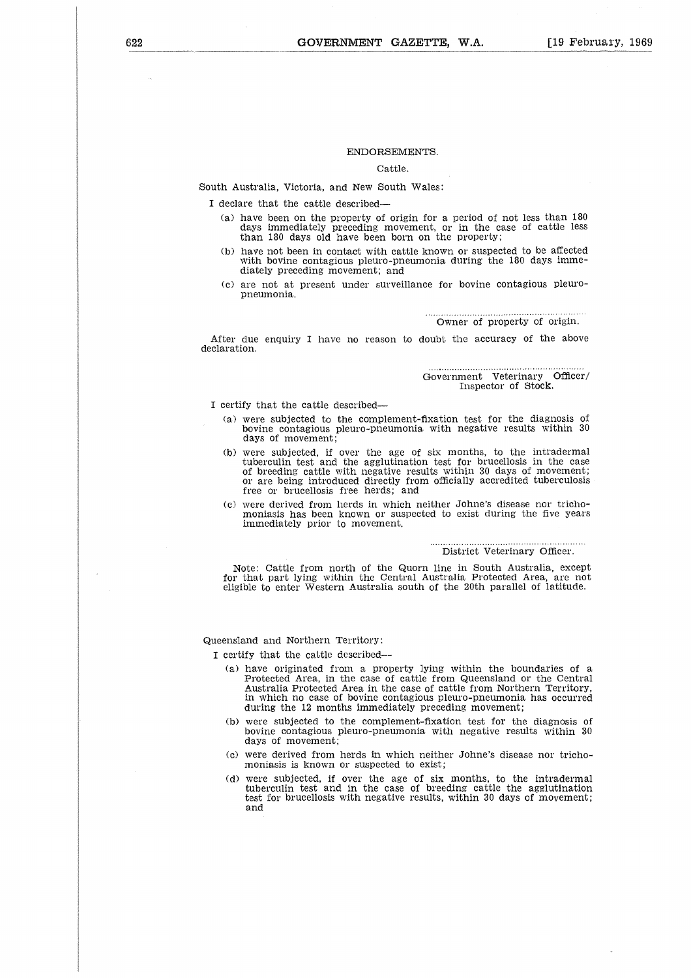### ENDORSEMENTS.

### Cattle.

South Australia, Victoria, and New South Wales:

I declare that the cattle described

- (a) have been on the property of origin for a period of not less than 180 days immediately preceding movement, or in the case of cattle less than 180 days old have been born on the property;
- (b) have not been in contact with cattle known or suspected to be affected with bovine contagious pleuro-pneumonia during the 180 days immediately preceding movement; and
- (c) are not at present under surveillance for bovine contagious pleuropneumonia.

Owner of property of origin.

After due enquiry I have no reason to doubt the accuracy of the above declaration.

> Government Veterinary Officer/ Inspector of Stock.

I certify that the cattle described

- (a) were subjected to the complement-fixation test for the diagnosis of bovine contagious pleuro-pneumonia. with negative results within 30 days of movement;
- (b) were subjected, if over the age of six months, to the intradermal tuberculin test and the agglutination test for brucellosis in the case of breeding cattle with negative results within 30 days of movement<br>or are being introduced directly from officially accredited tuberculosi: free or brucellosis free herds; and
- (c) were derived from herds in which neither Johne's disease nor trichomoniasis has been known or suspected to exist during the five years immediately prior to movement.

### . . . . . . . . . . . . . . . . . . . . . . . . . District Veterinary Officer.

Note: Cattle from north of the Quorn line in South Australia, except for that part lying within the Central Australia Protected Area, are not eligible to enter Western Australia south of the 20th parallel of latitude.

Queensland and Northern Territory:

I certify that the cattle described--

- (a) have originated from a property lying within the boundaries of a Protected Area, in the case of cattle from Queensland or the Central Australia Protected Area in the case of cattle from Northern Territory, in which no case of bovine contagious pleuro-pneumonia has occurred during the 12 months immediately preceding movement;
- (b) were subjected to the complement-fixation test for the diagnosis of bovine contagious pleuro-pneumonia with negative results within 30 days of movement;
- (c) were derived from herds in which neither Johne's disease nor trichomoniasis is known or suspected to exist;
- (d) were subjected, if over the age of six months, to the intradermal tuberculin test and in the case of breeding cattle the agglutination test for brucellosis with negative results, within 30 days of movement; and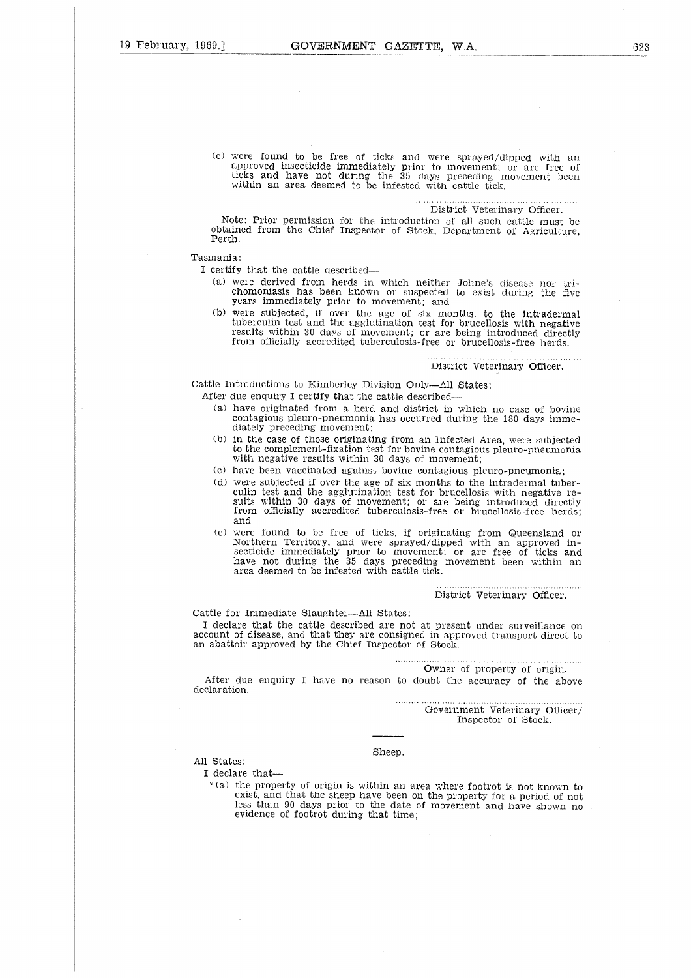(e) were found to be free of ticks and were sprayed/dipped with an approved insecticide immediately prior to movement; or are free of ticks and have not during the 35 days preceding movement been within an area deemed to be infested with cattle tick.

### District Veterinary Officer.

Note: Prior permission for the introduction of all such cattle must be obtained from the Chief Inspector of Stock, Department of Agriculture, Perth.

### Tasmania:

I certify that the cattle described

- (a) were derived from herds in which neither Johne's disease nor trichomoniasis has been known or suspected to exist during the five years immediately prior to movement; and
- (b) were subjected, if over the age of six months, to the intradermal tuberculin test and the agglutination test for brucellosis with negative results within 30 days of movement; or are being introduced directly from officially accredited tuberculosis-free or brucellosis-free herds.

District Veterinary Officer.

Cattle Introductions to Kimberley Division Only—All States:

- After due enquiry I certify that the cattle described
	- (a) have originated from a herd and district in which no case of bovine contagious pleuro-pneumonia has occurred during the 180 days immediately preceding movement;
	- (b) in the case of those originating from an Infected Area, were subjected to the complement-fixation test for bovine contagious pleuro-pneumonia with negative results within 30 days of movement;
	- (c) have been vaccinated against bovine contagious pleuro-pneumonia;
	- (d) were subjected if over the age of six months to the intradermal tuberculin test and the agglutination test for brucellosis with negative results within 30 days of movement; or are being introduced directly from officially accredited tuberculosis-free or brucellosis-free herds; and
	- (e) were found to be free of ticks, if originating from Queensland or Northern Territory, and were sprayed/dipped with an approved in-secticide immediately prior to movement; or are free of ticks and have not during the 35 days preceding movement been within an area deemed to be infested with cattle tick.

District Veterinary Officer.

Cattle for Immediate Slaughter—All States:

I declare that the cattle described are not at present under surveillance on account of disease, and that they are consigned in approved transport direct to an abattoir approved by the Chief Inspector of Stock.

Owner of property of origin.

After due enquiry I have no reason to doubt the accuracy of the above declaration.

> Government Veterinary Officer/ Inspector of Stock.

### Sheep.

All States:

I declare that-

\*(a) the property of origin is within an area where footrot is not known to exist, and that the sheep have been on the property for a period of not less than 90 days prior to the date of movement and have shown no evidence of footrot during that time;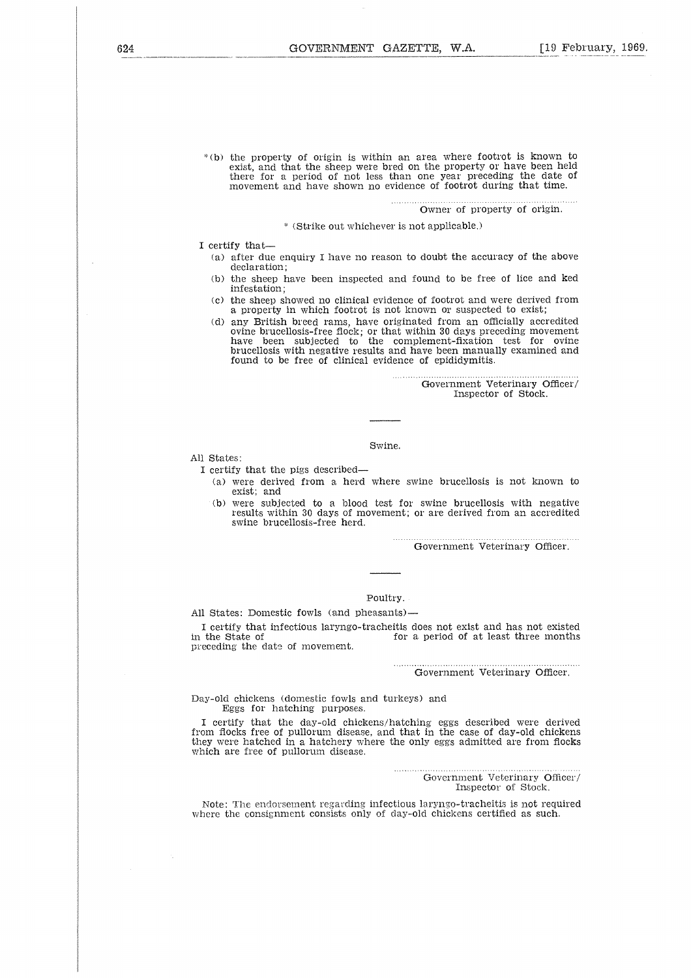"(b) the property of origin is within an area where footrot is known to exist, and that the sheep were bred on the property or have been held there for a period of not less than one year preceding the date of movement and have shown no evidence of footrot during that time.

Owner of property of origin.

(Strike out whichever is not applicable.)

I certify that

- (a) after due enquiry I have no reason to doubt the accuracy of the above declaration;
- (b) the sheep have been inspected and found to be free of lice and ked infestation;
- (c) the sheep showed no clinical evidence of footrot and were derived from a property in which footrot is not known or suspected to exist;
- (d) any British breed rams, have originated from an officially accredited ovine brucellosis-free flock; or that within 30 days preceding movement have been subjected to the complement-fixation test for ovine brucellosis with negative results and have been manually examined and found to be free of clinical evidence of epididymitis.

Government Veterinary Officer/ Inspector of Stock.

Swine.

All States:

I certify that the pigs described

- (a) were derived from a herd where swine brucellosis is not known to exist; and
- (b) were subjected to a blood test for swine brucellosis with negative results within 30 days of movement; or are derived from an accredited swine brucellosis-free herd.

Government Veterinary Officer.

### Poultry.

All States: Domestic fowls (and pheasants)

I certify that infectious laryngo-tracheitis does not exist and has not existed for a period of at least three months preceding the date of movement.

Government Veterinary Officer.

Day-old chickens (domestic fowls and turkeys) and Eggs for hatching purposes.

I certify that the day-old chickens/hatching eggs described were derived from flocks free of pullorum disease, and that in the case of day-old chickens they were hatched in a hatchery where the only eggs admitted are from flocks which are free of pullorum disease.

> Government Veterinary Officer/ Inspector of Stock.

Note: The endorsement regarding infectious laryngo-tracheitis is not required where the consignment consists only of day-old chickens certified as such.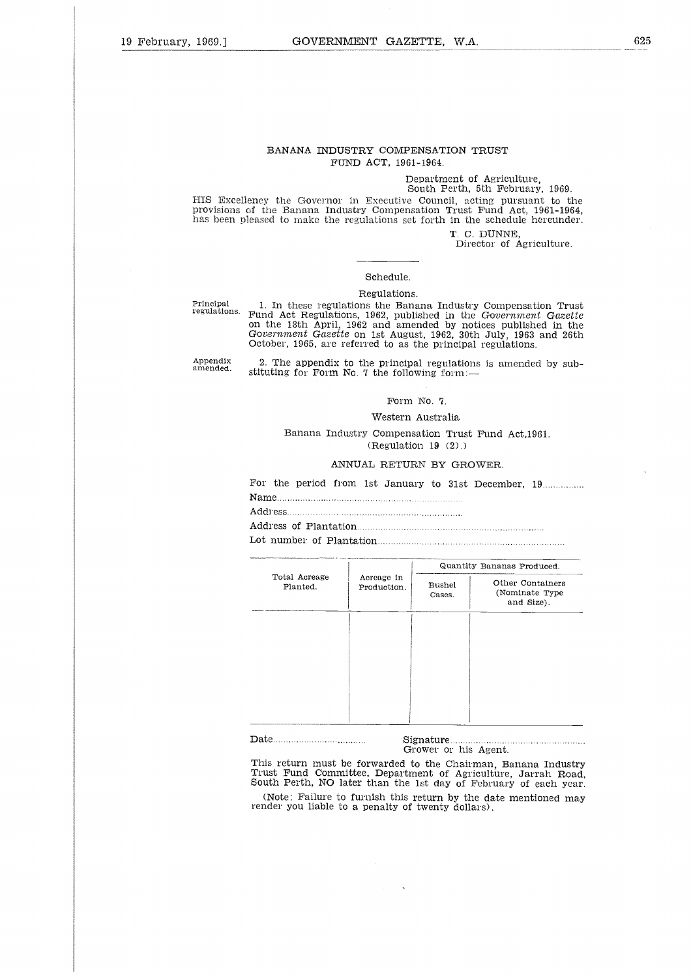### BANANA INDUSTRY COMPENSATION TRUST FUND ACT, 1961-1964.

### Department of Agriculture, South Perth, 5th February, 1969.

HIS Excellency the Governor in Executive Council, acting pursuant to the Provisions of the Banana Industry Compensation Trust Fund Act, 1961-1964, has been pleased to make the regulations set forth in the schedule hereunder.

T. C. DUNNE,

Director of Agriculture.

### Schedule.

### Regulations.

Principal regulations.

1. In these regulations the Banana Industry Compensation Trust Fund Act Regulations, 1962, published in the *Government Gazette* on the 18th April, 1962 and amended by notices published in the *Government Gazette* on 1st August, 1962, 30th July, 1963 and 26th October, 1965, are referred to as the principal regulations.

Appendix amended.

2. The appendix to the principal regulations is amended by substituting for Form No. 7 the following form:— 2. Th<br>stitutin<br>Name...<br>Addres<br>Addres

### Form No. 7.

### Western Australia

Banana Industry Compensation Trust Fund Act,1961. (Regulation 19 (2).)  $\frac{1}{1}$ .<br>.<br>.<br>.<br>.<br>. 

### ANNUAL RETURN BY GROWER.

|                           |                           | Form No. 7.                   |                                                                                                                                 |  |
|---------------------------|---------------------------|-------------------------------|---------------------------------------------------------------------------------------------------------------------------------|--|
|                           | Western Australia         |                               |                                                                                                                                 |  |
|                           |                           | (Regularian 19 (2))           | Banana Industry Compensation Trust Fund Act.1961.                                                                               |  |
|                           | ANNUAL RETURN BY GROWER.  |                               |                                                                                                                                 |  |
|                           |                           |                               | For the period from 1st January to 31st December, 19                                                                            |  |
|                           |                           |                               | Quantity Bananas Produced.                                                                                                      |  |
| Total Acreage<br>Planted. | Acreage in<br>Production. | Bushel<br>Cases.              | Other Containers<br>(Nominate Type)<br>and Size).                                                                               |  |
|                           |                           |                               |                                                                                                                                 |  |
|                           |                           |                               |                                                                                                                                 |  |
|                           |                           |                               |                                                                                                                                 |  |
|                           |                           | Sigma<br>Grower or his Agent. | This return must be forwarded to the Chairman, Banana Industry<br>Trust Fund Committee, Department of Agriculture, Jarrah Road, |  |

This return must be forwarded to the Chairman, Banana Industry Trust Fund Committee, Department of Agriculture, Jarrah Road, South Perth, NO later than the 1st day of February of each year. (Note: Failure to furnish this return by the date mentioned may render you liable to a penalty of twenty dollars).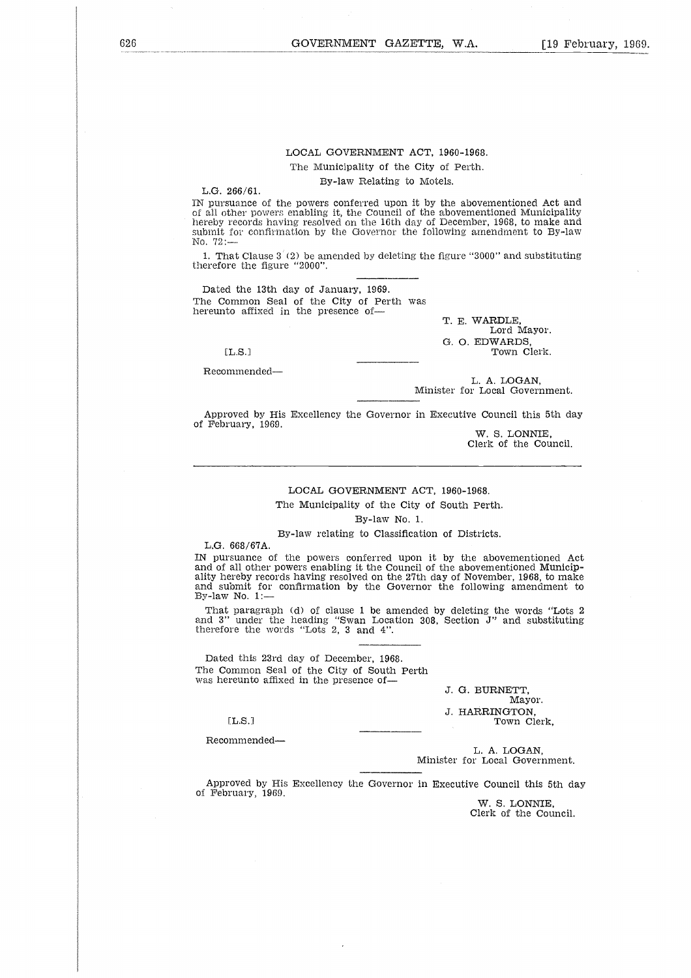## LOCAL GOVERNMENT ACT, 1960-1968.

The Municipality of the City of Perth.

By-law Relating to Motels.

L.G. 266/61.

IN pursuance of the powers conferred upon it by the abovementioned Act and of all other powers enabling it, the Council of the abovementioned Municipality hereby records having resolved on the 16th day of December, 1968, to make and submit for confirmation by the Governor the following amendment to By-law No, 72:— 

1. That Clause 3 (2) be amended by deleting the figure "3000" and substituting therefore the figure "2000".

Dated the 13th day of January, 1969. The Common Seal of the City of Perth was hereunto affixed in the presence of-

[L.S.]

Recommended-

T. E. WARDLE, Lord Mayor. G. 0. EDWARDS, Town Clerk.

L. A. LOGAN, Minister for Local Government.

Approved by His Excellency the Governor in Executive Council this 5th day of February, 1969.

W. S. LONNIE, Clerk of the Council,

### LOCAL GOVERNMENT ACT, 1960-1968.

The Municipality of the City of South Perth.

By-law No. 1.

By-law relating to Classification of Districts.

L.G. 668/67A.

IN pursuance of the powers conferred upon it by the abovementioned Act and of all other powers enabling it the Council of the abovementioned Municipality hereby records having resolved on the 27th day of November, 1968, to make and submit for confirmation by the Governor the following amendment to By-law No. 1: an but<br>ereby 1<br>bmit No. 1<br>paragunder when<br>the the deltical delta<br>final members of the set of the set of the set of the set of the set of the set of the set of the set of the set of the set of the set of the set of the set

That paragraph (d) of clause 1 be amended by deleting the words "Lots 2 and 3" under the heading "Swan Location 308, Section J" and substituting therefore the words "Lots 2, 3 and 4".

Dated this 23rd day of December, 1968. The Common Seal of the City of South Perth was hereunto affixed in the presence of

J. G. BURNETT, Mayor. J. HARRINGTON, Town Clerk,

 $[L.S.]$ 

Recommended

L. A. LOGAN, Minister for Local Government.

Approved by His Excellency the Governor in Executive Council this 5th day of February, 1969.

W. S. LONNIE, Clerk of the Council.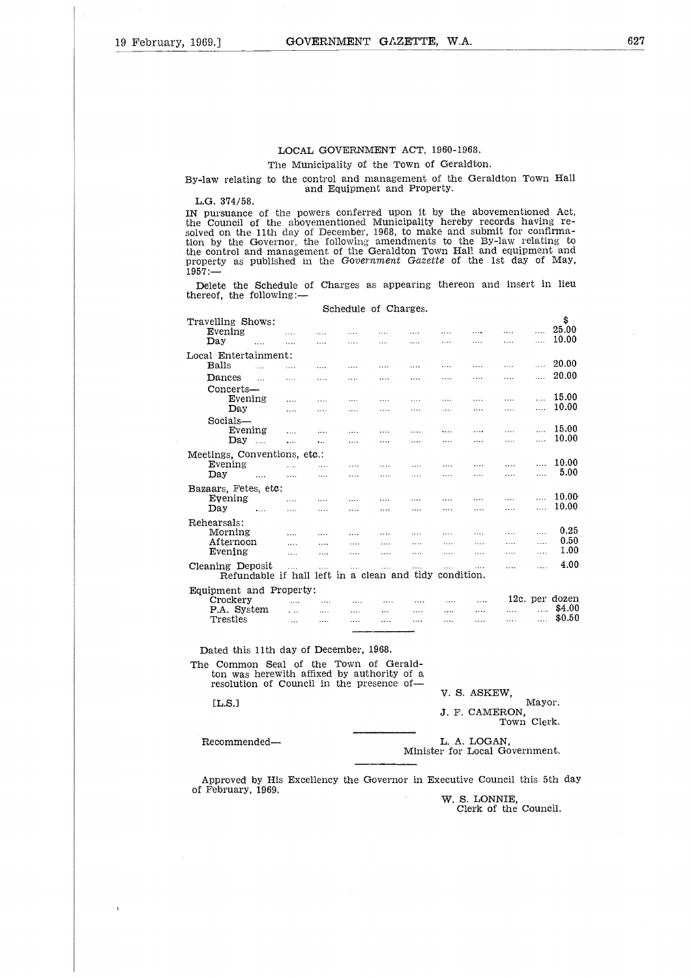### LOCAL GOVERNMENT ACT, 1960-1968.

### The Municipality of the Town of Geraldton.

### By-law relating to the control and management of the Geraldton Town Hall and Equipment and Property.

L.G. 374/58.

IN pursuance of the powers conferred upon it by the abovementioned Act, the Council of the abovementioned Municipality hereby records having resolved on the 11th day of December, 1968, to make and submit for confirma-tion by the Governor, the following amendments to the By-law relating to the control and management of the Geraldton Town Hall and equipment and property as published in the *Government Gazette* of the 1st day of May, 1957:— By-law relating to<br>L.G. 374/58.<br>IN pursuance of the<br>council of the<br>solved on the 11th<br>tion by the Gover:<br>the control and ma<br>property as publis:<br>1957:—<br>Delete the Schee<br>thereof, the follow:<br>Travelling Shows:<br>Evening<br>Day ...  $\begin{array}{l} \texttt{G.}~~ 374/58\ \texttt{Council}\ \texttt{d}~~\texttt{d}~~\texttt{d}~~\texttt{d}~~\texttt{d}~~\texttt{d}~~\texttt{d}~~\texttt{d}~~\texttt{d}~~\texttt{d}~~\texttt{d}~~\texttt{d}~~\texttt{d}~~\texttt{d}~~\texttt{d}~~\texttt{d}~~\texttt{d}~~\texttt{d}~~\texttt{d}~~\texttt{d}~~\texttt{d}~~\texttt{d}~~\texttt{d}~~\texttt{d}~~\texttt{d}~~\texttt{d}~~\texttt{d}~~$  $3.374/58$ .<br>
Dursuance of the Council of the  $1$ <br>
dd on the 11th day<br>
by the Governo.<br>
control and managementy as published<br>
erty as published<br>
erty as published<br>
erty as published<br>
erty as published<br>
erty as published<br>
e

Delete the Schedule of Charges as appearing thereon and insert in lieu thereof, the following:—

Schedule of Charges.

# \$ 25.00 10.00 Local Entertainment:<br>Balls Counce on<br>By the terms<br>erity is denoted the selection<br>Balls Evening<br>Balls Dance<br>Conce E 20.00 d on the by the<br>by the erty as<br>erty as<br>identy as<br>identy as<br>Evening Evening<br>Day<br>I Enter Evening<br>Concert, Evening ... 20.00 Concerts—<br>Evening of and I.<br>as publ<br>the Sch<br>the follo<br>g Shows<br>ing<br>tertainm<br>tertainm<br>Evening<br>Evening<br>Evening<br>Evening 15.00 the discriming Shing<br>the discriming the state of the state of the discriming<br>Even Day Even Day  $\dots$  10.00 Socials-<br>Evening the Sch<br>the follo<br>g Shows<br>ing<br>thertainm<br>starts—<br>exerts—<br>Evening<br>Evening<br>Day<br>s, Conven<br>ing  $\begin{array}{ccc} \dots & 15.00 \\ \dots & 10.00 \end{array}$ Day . .. 10.00 Meetings, Conventions, etc.:<br>Evening Evening .... 10.00 Day.. ... 5.00 Bazaars, Fetes, etc:<br>Evening .... 1 Entertainment:<br>
Dances<br>
Dances<br>
Evening<br>
Evening<br>
Evening<br>
Evening<br>
Evening<br>
Evening<br>
Evening<br>
Evening<br>
Evening<br>
Evening<br>
Evening<br>
Evening<br>
Evening<br>
Evening<br>
Evening<br>
20.00<br>
20.00<br>
20.00<br>
Concerts—<br>
Evening<br>
Evening<br>
Eve Day . . 10.00 Rehearsals:<br>Morning Morning . 0.25 Afternoon 0.50 Evening . 1.00 Cleaning Deposit . . 4.00 Refundable if hall left in a clean and tidy condition. Equipment and Property:<br>Crockery ....<br>P.A. System .... Crockery 12c. per dozen  $\begin{array}{ccccccccccc}\n\text{Devy} & \text{...} & \text{...} & \text{...} & \text{...} & \text{...} & \text{...} & \text{...} & \text{...} & \text{...} & \text{...} & \text{...} & \text{...} & \text{...} & \text{...} & \text{...} & \text{...} & \text{...} & \text{...} & \text{...} & \text{...} & \text{...} & \text{...} & \text{...} & \text{...} & \text{...} & \text{...} & \text{...} & \text{...} & \text{...} & \text{...} & \text{...} & \text{...} & \text{...} & \text{...}$ Day<br>
Evening<br>
Exercise, etc.<br>
Exercise, etc.<br>
Exercise Exercise<br>
Macroscophical Content of December, 1968.<br>
Trestles<br>
Trestles<br>
Exercise Crockery<br>
P.A. System<br>
Trestles<br>
Atternation Concerns<br>
Crockery<br>
P.A. System<br>
Trestle ning the size the match Crockery<br>
P.A. System<br>
Trestles<br>
Trestles<br>
Common Seal of the Town of Gerald-<br>
ton was herewith affixed by authority of a<br>
resolution of Council in the presence of-<br>
L.S.]<br>
J. F. CAMER<br>
Recommended—<br>
Minister for Local Gon

Dated this 11th day of December, 1968.

The Common Seal of the Town of Gerald-ton was herewith affixed by authority of a resolution of Council in the presence of-

[L.S.]

 $\bar{\mathbf{r}}$ 

V. S. ASKEW, Mayor, J. F. CAMERON,

Town Clerk.

Minister for Local Government.

Approved by His Excellency the Governor in Executive Council this 5th day of February, 1969.

W. S. LONNIE, Clerk of the Council.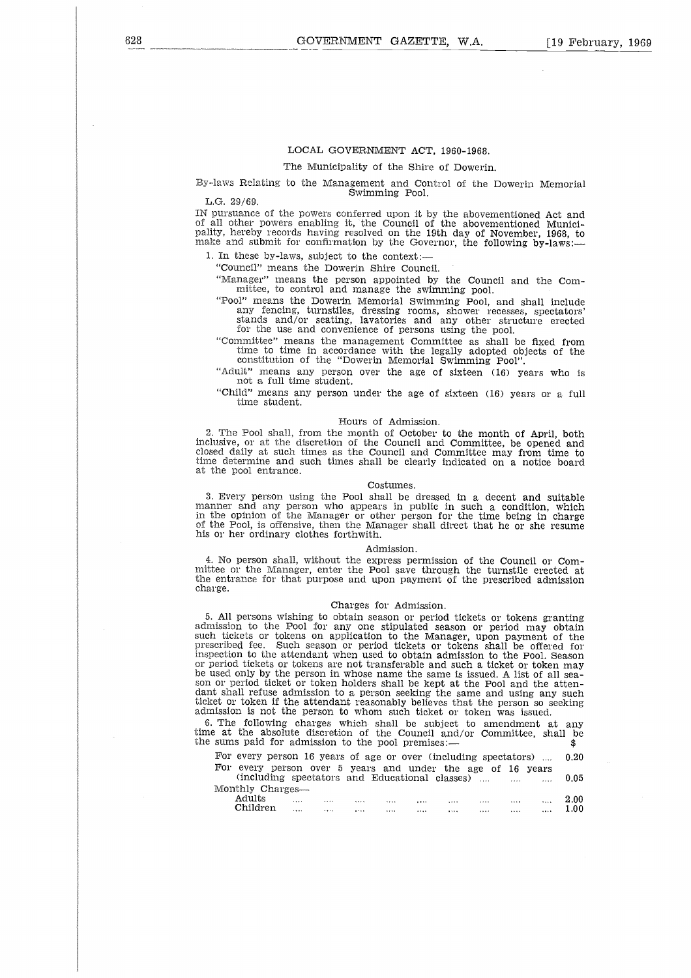### LOCAL GOVERNMENT ACT, 1960-1968.

The Municipality of the Shire of Dowerin.

By-laws Relating to the Management and Control of the Dowerin Memorial Swimming Pool.

L.G. 29/69.

IN pursuance of the powers conferred upon it by the abovementioned Act and of all other powers enabling it, the Council of the abovernentioned Municipality, hereby records having resolved on the 19th day of November, 1968, to make and submit for confirmation by the Governor, the following by-laws:—

1. In these by-laws, subject to the context:—

"Council" means the Dowerin Shire Council.

"Manager" means the person appointed by the Council and the Committee, to control and manage the swimming pool.

"Pool" means the Dowerin Memorial Swimming Pool, and shall include any fencing, turnstiles, dressing rooms, shower recesses, spectators' stands and/or seating, lavatories and any other structure erected for the use and convenience of persons using the pool.

"Committee" means the management Committee as shall be fixed from time to time in accordance with the legally adopted objects of the constitution of the "Dowerin Memorial Swimming Pool".

"Adult" means any person over the age of sixteen (16) years who is not a full time student.

"Child" means any person under the age of sixteen (16) years or a full time student.

### Hours of Admission.

2. The Pool shall, from the month of October to the month of April, both inclusive, or at the discretion of the Council and Committee, be opened and closed daily at such times as the Council and Committee may from time to time determine and such times shall be clearly indicated on a notice board at the pool entrance.

### Costumes.

3. Every person using the Pool shall be dressed in a decent and suitable manner and any person who appears in public in such a condition, which in the opinion of the Manager or other person for the time being in charge of the Pool, is offensive, then the Manager shall direct that he or she resume his or her ordinary clothes forthwith.

### Admission.

4. No person shall, without the express permission of the Council or Committee or the Manager, enter the Pool save through the turnstile erected at the entrance for that purpose and upon payment of the prescribed admission charge.

### Charges for Admission.

5. All persons wishing to obtain season or period tickets or tokens granting admission to the Pool for any one stipulated season or period may obtain such tickets or tokens on application to the Manager, upon payment of the prescribed fee. Such season or period tickets or tokens shall be offered for inspection to the attendant when used to obtain admission to the Pool. Season or period tickets or tokens are not transferable and such a ticket or token may be used only by the person in whose name the same is issued. A list of all sea-son or period ticket or token holders shall be kept at the Pool and the attendant shall refuse admission to a person seeking the same and using any such ticket or token if the attendant reasonably believes that the person so seeking admission is not the person to whom such ticket or token was issued. 5. All persons wishing to obtain season or period tickets or tokens grantin admission to the Pool for any one stipulated season or period may obtains<br>such tickets or tokens on application to the Manager, upon payment of t retis or tokens on application to the Manager, upon payment of the diffee. Such season or period tickets or tokens and be offered for the may only by the person in whose name the same in sissued. A list of all sear-<br>priod n to the attendant when used to obtain admission to the Pool. Season<br>all tickets or tokens are not transferable and such a ticket or token may<br>be person in whose name the same is issued. A list of all sea-<br>eriod ticket or

| beriod tickets or tokens are not transferable and such a ticket or token may<br>used only by the person in whose name the same is issued. A list of all sea-<br>or period ticket or token holders shall be kept at the Pool and the atten-<br>t shall refuse admission to a person seeking the same and using any such<br>et or token if the attendant reasonably believes that the person so seeking<br>hission is not the person to whom such ticket or token was issued.<br>The following charges which shall be subject to amendment at any |  |  |  |              |      |
|-------------------------------------------------------------------------------------------------------------------------------------------------------------------------------------------------------------------------------------------------------------------------------------------------------------------------------------------------------------------------------------------------------------------------------------------------------------------------------------------------------------------------------------------------|--|--|--|--------------|------|
| e at the absolute discretion of the Council and/or Committee, shall be<br>sums paid for admission to the pool premises:—                                                                                                                                                                                                                                                                                                                                                                                                                        |  |  |  |              | \$   |
| For every person 16 years of age or over (including spectators)<br>For every person over 5 years and under the age of 16 years                                                                                                                                                                                                                                                                                                                                                                                                                  |  |  |  |              | 0.20 |
| (including spectators and Educational classes)<br>Monthly Charges-                                                                                                                                                                                                                                                                                                                                                                                                                                                                              |  |  |  | $\mathbf{1}$ | 0.05 |
| Adults in the theory and the contract of the contract of the contract of the contract of the contract of the contract of the contract of the contract of the contract of the contract of the contract of the contract of the c                                                                                                                                                                                                                                                                                                                  |  |  |  |              | 2.00 |
|                                                                                                                                                                                                                                                                                                                                                                                                                                                                                                                                                 |  |  |  |              | 1.00 |
|                                                                                                                                                                                                                                                                                                                                                                                                                                                                                                                                                 |  |  |  |              |      |
|                                                                                                                                                                                                                                                                                                                                                                                                                                                                                                                                                 |  |  |  |              |      |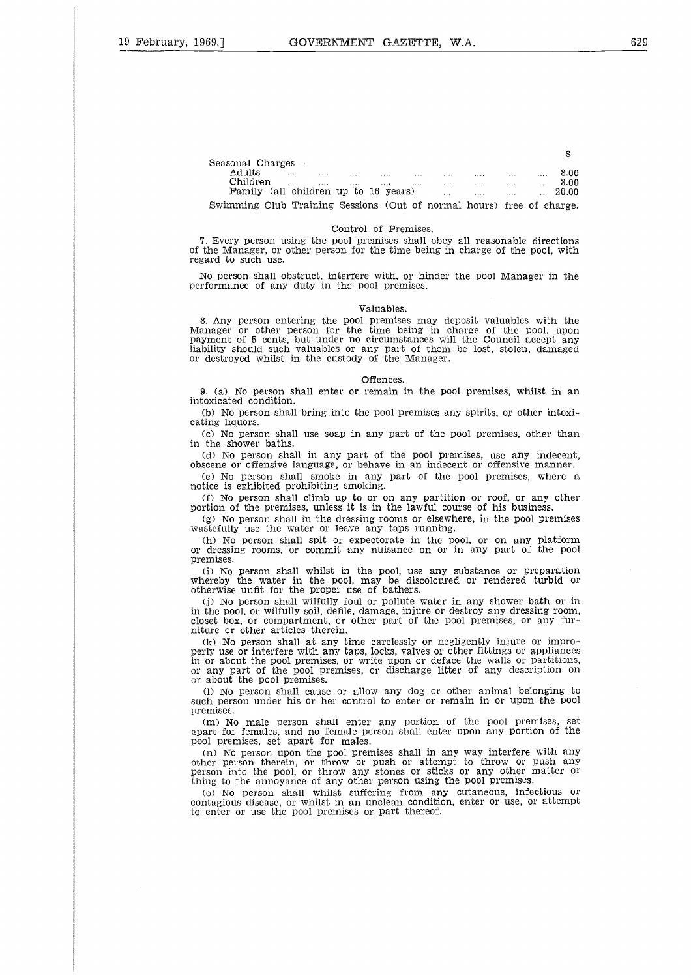| 69.1                                                                  | GOVERNMENT GAZETTE, W.A.                                                                                                               |                                                    |  |                                                                     |               |
|-----------------------------------------------------------------------|----------------------------------------------------------------------------------------------------------------------------------------|----------------------------------------------------|--|---------------------------------------------------------------------|---------------|
|                                                                       |                                                                                                                                        |                                                    |  |                                                                     |               |
|                                                                       |                                                                                                                                        |                                                    |  |                                                                     |               |
|                                                                       |                                                                                                                                        |                                                    |  |                                                                     |               |
|                                                                       |                                                                                                                                        |                                                    |  |                                                                     |               |
|                                                                       |                                                                                                                                        |                                                    |  |                                                                     |               |
|                                                                       |                                                                                                                                        |                                                    |  |                                                                     |               |
|                                                                       |                                                                                                                                        |                                                    |  |                                                                     |               |
| Seasonal Charges-                                                     |                                                                                                                                        |                                                    |  |                                                                     | \$            |
|                                                                       |                                                                                                                                        |                                                    |  |                                                                     | 8.00          |
| Children                                                              | $\ldots$<br>$\cdots$<br>Family (all children up to 16 years) and the manufactured with the manufactured with the manufactured with the | المتنفس والمتنب والمتناوب المتناوب العنبين والمناو |  | $\sim$<br>$\mathcal{L}_{\mathcal{A}}$ , $\mathcal{L}_{\mathcal{A}}$ | 3.00<br>20.00 |
| Swimming Club Training Sessions (Out of normal hours) free of charge. |                                                                                                                                        |                                                    |  |                                                                     |               |
|                                                                       |                                                                                                                                        |                                                    |  |                                                                     |               |
|                                                                       |                                                                                                                                        | Control of Premises                                |  |                                                                     |               |

### Control of Premises.

7. Every person using the pool premises shall obey all reasonable directions of the Manager, or other person for the time being in charge of the pool, with regard to such use.

No person shall obstruct, interfere with, or hinder the pool Manager in the performance of any duty in the pool premises.

### Valuables.

8. Any person entering the pool premises may deposit valuables with the Manager or other person for the time being in charge of the pool, upon payment of 5 cents, but under no circumstances will the Council accept any liability should such valuables or any part of them be lost, stolen, damaged or destroyed whilst in the custody of the Manager.

### Offences.

9. (a) No person shall enter or remain in the pool premises, whilst in an intoxicated condition.

(b) No person shall bring into the pool premises any spirits, or other intoxicating liquors.

(c) No person shall use soap in any part of the pool premises, other than in the shower baths.

(d) No person shall in any part of the pool premises, use any indecent obscene or offensive language, or behave in an indecent or offensive manner.

(e) No person shall smoke in any part of the pool premises, where a potice is exhibited prohibiting smoking.

(f) No person shall climb up to or on any partition or roof, or any other portion of the premises, unless it is in the lawful course of his business.

(g) No person shall in the dressing rooms or elsewhere, in the pool premises wastefully use the water or leave any taps running.

(h) No person shall spit or expectorate in the pool, or on any platform or dressing rooms, or commit any nuisance on or in any part of the pool premises.

(i) No person shall whilst in the pool, use any substance or preparation whereby the water in the pool, may be discoloured or rendered turbid or otherwise unfit for the proper use of bathers.

(j) No person shall wilfully foul or pollute water in any shower bath or in in the pool, or wilfully soil, defile, damage, injure or destroy any dressing room, closet box, or compartment, or other part of the pool premises, or any furniture or other articles therein.

(k) No person shall at any time carelessly or negligently injure or improperly use or interfere with any taps, locks, valves or other fittings or appliances in or about the pool premises, or write upon or deface the walls or partitions, or any part of the pool premises, or discharge litter of any description on or about the pool premises.

(1) No person shall cause or allow any dog or other animal belonging to such person under his or her control to enter or remain in or upon the pool premises.

(m) No male person shall enter any portion of the pool premises, set apart for females, and no female person shall enter upon any portion of the pool premises, set apart for males.

(n) No person upon the pool premises shall in any way interfere with any other person therein, or throw or push or attempt to throw or push any person into the pool, or throw any stones or sticks or any other matter or thing to the annoyance of any other person using the pool premises.

(o) No person shall whilst suffering from any cutaneous, infectious or contagious disease, or whilst in an unclean condition, enter or use, or attempt to enter or use the pool premises or part thereof.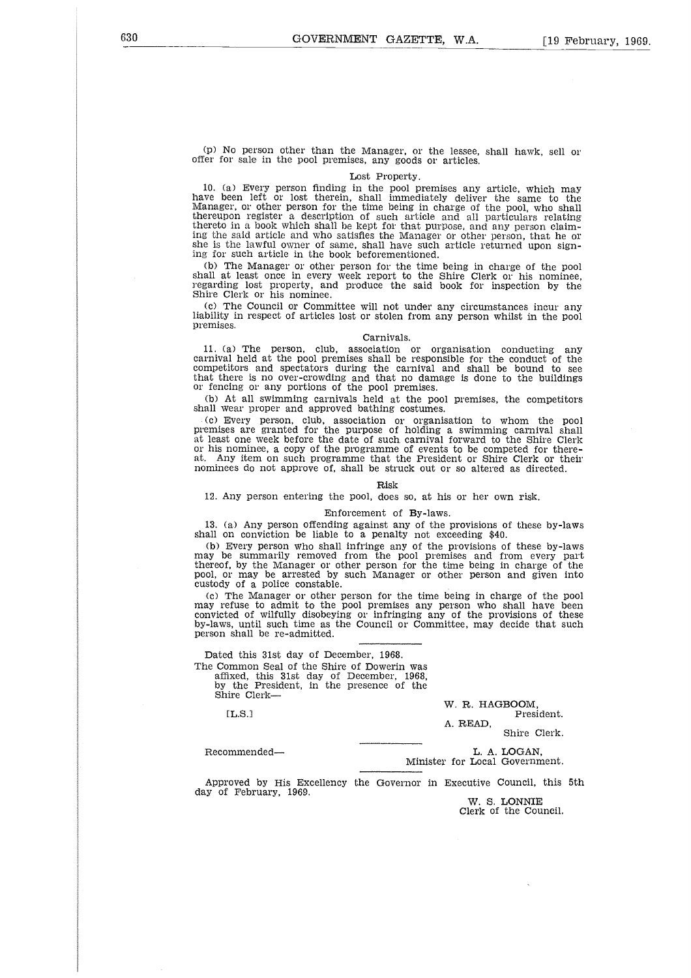(p) No person other than the Manager, or the lessee, shall hawk, sell or offer for sale in the pool premises, any goods or articles.

### Lost Property.

10. (a) Every person finding in the pool premises any article, which may have been left or lost therein, shall immediately deliver the same to the Manager, or other person for the time being in charge of the pool, who shall thereupon register a description of such article and all particulars relating thereto in a book which shall be kept for that purpose, and any person claiming the said article and who satisfies the Manager or other person, that he or she is the lawful owner of same, shall have such article returned upon signing for such article in the book beforementioned.

(b) The Manager or other person for the time being in charge of the pool shall at least once in every week report to the Shire Clerk or his nominee, regarding lost property, and produce the said book for inspection by the Shire Clerk or his nominee.

(c) The Council or Committee will not under any circumstances incur any liability in respect of articles lost or stolen from any person whilst in the pool premises.

### Carnivals.

11. (a) The person, club, association or organisation conducting any carnival held at the pool premises shall be responsible for the conduct of the competitors and spectators during the carnival and shall be bound to see that there is no over-crowding and that no damage is done to the buildings or fencing or any portions of the pool premises.

(b) At all swimming carnivals held at the pool premises, the competitors shall wear proper and approved bathing costumes.

(c) Every person, club, association or organisation to whom the pool premises are granted for the purpose of holding a swimming carnival shall at least one week before the date of such carnival forward to the Shire Clerk or his nominee, a copy of the programme of events to be competed for thereat. Any item on such programme that the President or Shire Clerk or their nominees do not approve of, shall be struck out or so altered as directed.

### Risk

12. Any person entering the pool, does so, at his or her own risk.

### Enforcement of By-laws.

13. (a) Any person offending against any of the provisions of these by-laws shall on conviction be liable to a penalty not exceeding \$40.

(b) Every person who shall infringe any of the provisions of these by-laws may be summarily removed from the pool premises and from every part thereof, by the Manager or other person for the time being in charge of the pool, or may be arrested by such Manager or other person and given into custody of a police constable.

(c) The Manager or other person for the time being in charge of the pool may refuse to admit to the pool premises any person who shall have been convicted of wilfully disobeying or infringing any of the provisions of these by-laws, until such time as the Council or Committee, may decide that such person shall be re-admitted. Fraction of Executive discuss and provisions of the provisions<br>
invicted of wilfully disobeying or infringing any of the provisions<br>
-laws, until such time as the Council or Committee, may decide the<br>
recommended—<br>
Dated t

Dated this 31st day of December, 1968. The Common Seal of the Shire of Dowerin was affixed, this 31st day of December, 1968, by the President, in the presence of the Shire Clerk-

ELS.]

W. R. HAGBOOM, President.

A. READ,

Shire Clerk.

# L. A. LOGAN,<br>Minister for Local Government.

Approved by His Excellency the Governor in Executive Council, this 5th day of February, 1969.

W. S. LONNIE Clerk of the Council.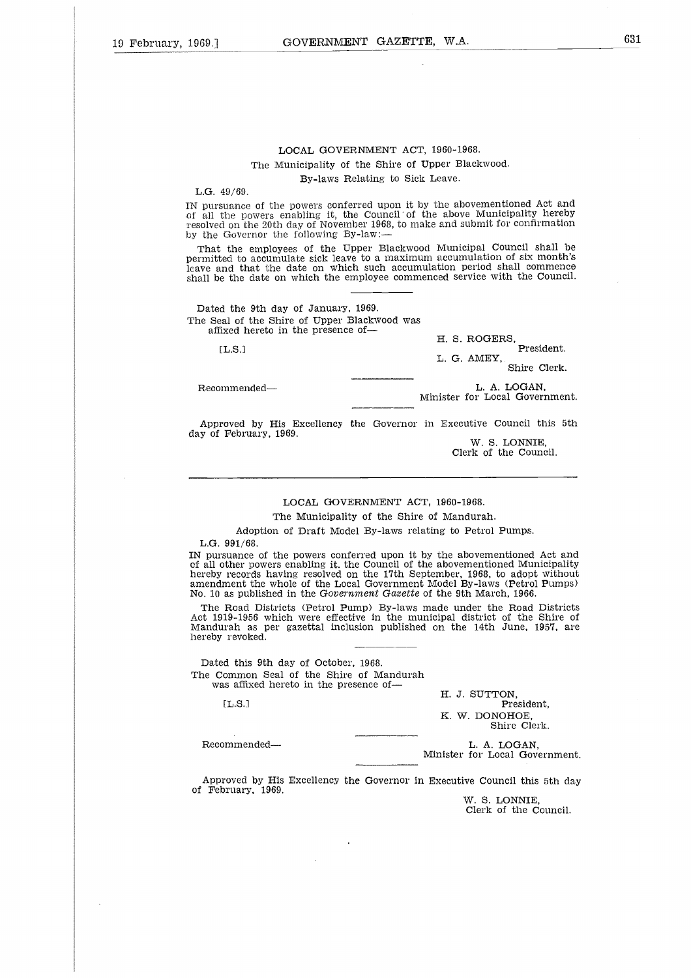### LOCAL GOVERNMENT ACT, 1960-1968. The Municipality of the Shire of Upper Blackwood. By-laws Relating to Sick Leave.

L.G. 49/69.

IN pursuance of the powers conferred upon it by the abovementioned Act and of all the powers enabling it, the Council of the above Municipality hereby resolved on the 20th day of November 1968, to make and submit for confirmation by the Governor the following By-law:

That the employees of the Upper Blackwood Municipal Council shall be permitted to accumulate sick leave to a maximum accumulation of six month's leave and that the date on which such accumulation period shall commence shall be the date on which the employee commenced service with the Council. That the employees of the Upper Blackwood Municipal Council show<br>the distributed to accumulate sick leave to a maximum accumulation of six m<br>we and that the date on which such accumulation period shall com<br>all be the date

Dated the 9th day of January, 1969. The Seal of the Shire of Upper Blackwood was affixed hereto in the presence of

[L.S.]

H. S. ROGERS, President. L. G. AMEY, Shire Clerk.

L. A. LOGAN,<br>Minister for Local Government.

Approved by His Excellency the Governor in Executive Council this 5th day of February, 1969,

W. S. LONNIE, Clerk of the Council.

### LOCAL GOVERNMENT ACT, 1960-1968.

The Municipality of the Shire of Mandurah.

Adoption of Draft Model By-laws relating to Petrol Pumps.

L.G. 991/68.

IN pursuance of the powers conferred upon it by the abovementioned Act and of all other powers enabling it. the Council of the abovementioned Municipality hereby records having resolved on the 17th September, 1968, to adopt without amendment the whole of the Local Government Model By-laws (Petrol Pumps) No. 10 as published in the *Government Gazette* of the 9th March, 1966. eprth: 5 aks smx

The Road Districts (Petrol Pump) By-laws made under the Road Districts Act 1919-1956 which were effective in the municipal district of the Shire of Mandurah as per gazettal inclusion published on the 14th June, 1957, are hereby revoked. The Road Districts (Petrol Pump) By-laws made under the Road<br>
t 1919-1956 which were effective in the municipal district of the<br>
andurah as per gazettal inclusion published on the 14th June, 1<br>
reby revoked.<br>
—————————————

Dated this 9th day of October, 1968. The Common Seal of the Shire of Mandurah was affixed hereto in the presence of

[L.S.]

H. J. SUTTON, President, K. *W.* DONOHOE, Shire Clerk.

Minister for Local Government.

Approved by His Excellency the Governor in Executive Council this 5th day of February, 1969.

W. S. LONNIE, Clerk of the Council.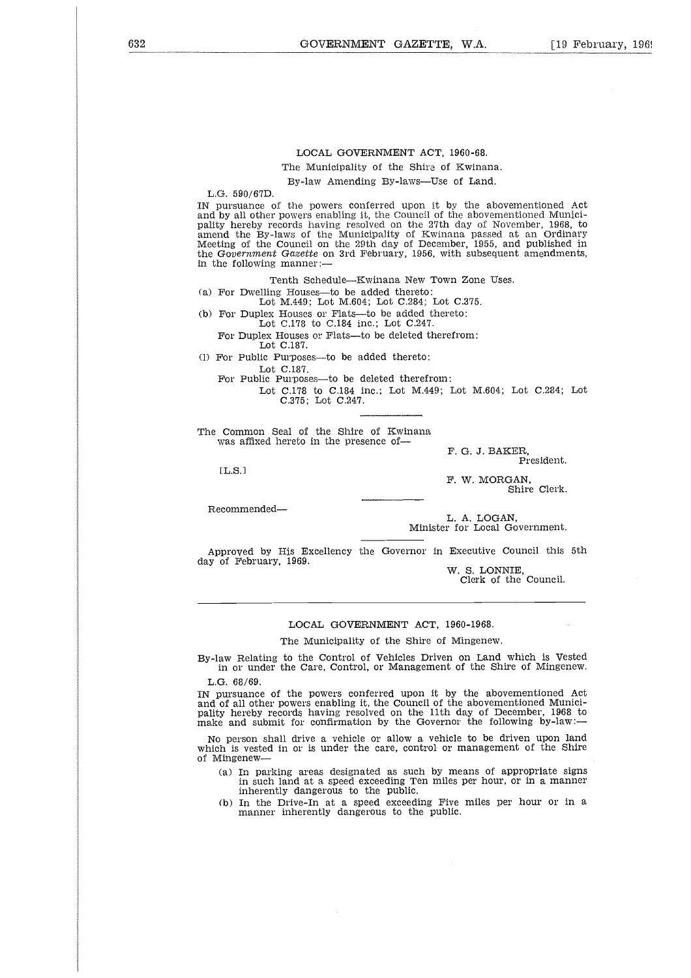### LOCAL GOVERNMENT ACT, 1960-68.

The Municipality of the Shire of Kwinana.

By-law Amending By-laws—Use of Land.

L.G. 590/67D.

IN pursuance of the powers conferred upon it by the abovementioned Act and by all other powers enabling it, the Council of the abovernentioned Municipality hereby records having resolved on the 27th day of November, 1968, to amend the By-laws of the Municipality of Kwinana passed at an Ordinary Meeting of the Council on the 29th day of December, 1955, and published in the *Government Gazette* on 3rd February, 1956, with subsequent amendments, in the following manner:

Tenth Schedule—Kwinana New Town Zone Uses.

(a) For Dwelling Houses—to be added thereto:

Lot M.449; Lot M.604; Lot C.284; Lot C.375.

(b) For Duplex Houses or Flats—to be added thereto: Lot C.178 to C.184 inc.; Lot C.247.

For Duplex Houses or Flats—to be deleted therefrom:

Lot C.187.

(1) For Public Purposes—to be added thereto:

Lot C.187.

For Public Purposes—to be deleted therefrom:

Lot C.178 to C.184 inc.; Lot M.449; Lot M.604; Lot C.284; Lot C.375; Lot C.247.

The Common Seal of the Shire of Kwinana, was affixed hereto in the presence of-

F. G. J. BAKER, President.

 $[L.S.]$ 

F. W. MORGAN, Shire Clerk.

Recommended

L. A. LOGAN, Minister for Local Government.

Approved by His Excellency the Governor in Executive Council this 5th day of February, 1969.

W. S. LONNIE, Clerk of the Council.

### LOCAL GOVERNMENT ACT, 1960-1968.

The Municipality of the Shire of Mingenew.

By-law Relating to the Control of Vehicles Driven on Land which is Vested in or under the Care, Control, or Management of the Shire of Mingenew.

L.G. 68/69.

IN pursuance of the powers conferred upon it by the abovementioned Act and of all other powers enabling it, the Council of the abovementioned Munici-pality hereby records having resolved on the 11th day of December, 1968 to make and submit for confirmation by the Governor the following by-law:

No person shall drive a vehicle or allow a vehicle to be driven upon land which is vested in or is under the care, control- or management of the Shire of Mingenew-

- (a) In parking areas designated as such by means of appropriate signs in such land at a speed exceeding Ten miles per hour, or in a manner inherently dangerous to the public.
- (b) In the Drive-In at a speed exceeding Five miles per hour or in a manner inherently dangerous to the public.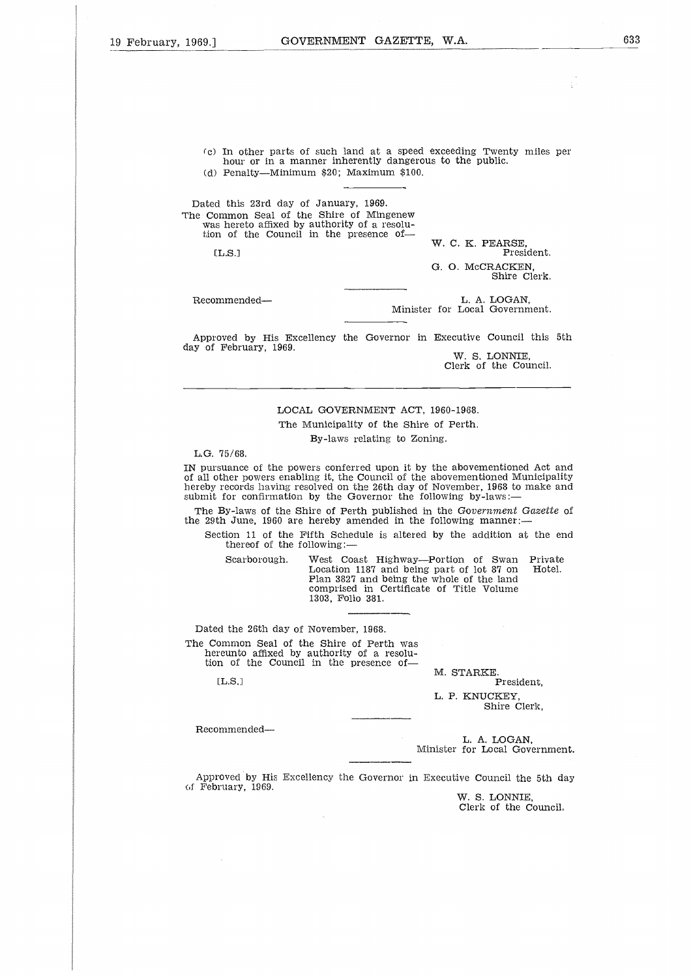(c) In other parts of such land at a speed exceeding Twenty miles per hour or in a manner inherently dangerous to the public.

(d) Penalty—Minimum \$20; Maximum \$100.

Dated this 23rd day of January, 1969. The Common Seal of the Shire of Mingenew was hereto affixed by authority of a resolu-tion of the Council in the presence of-0<br>រះ<br>ន<br>ខ nour or in a manner inherently dangerous to the public.<br>
(d) Penalty—Minimum \$20; Maximum \$100.<br>
Dated this 23rd day of January, 1969.<br>
Recommon Seal of the Shire of Mingenew<br>
was hereto affixed by authority of a resolutio

 $TLS.1$ 

W. C. K. PEARSE, President. G. 0. McCRACKEN, Shire Clerk.

L. A. LOGAN,<br>Minister for Local Government.

Approved by His Excellency the Governor in Executive Council this 5th day of February, 1969.

W. S. LONNIE, Clerk of the Council.

### LOCAL GOVERNMENT ACT, 1960-1968. The Municipality of the Shire of Perth. By-laws relating to Zoning.

L.G. 75/68.

IN pursuance of the powers conferred upon it by the abovementioned Act and of all other powers enabling it, the Council of the abovementioned Municipality hereby records having resolved on the 26th day of November, 1968 to make and submit for confirmation by the Governor the following by-laws: Scarborough. West Coast Highway—Portion of Swan Private Learn 3827 and being the whole control of the abovementioned Act are powers enabling it, the Council of the abovementioned Municipalizeords having resolved on the 26t

The By-laws of the Shire of Perth published in the *Government Gazette* of the 29th June, 1960 are hereby amended in the following manner:

Section 11 of the Fifth Schedule is altered by the addition at the end thereof of the following:

Location 1187 and being part of lot 87 on Hotel. Plan 3827 and being the whole of the land comprised in Certificate of Title Volume 1303, Folio 381.

Dated the 26th day of November, 1968.

The Common Seal of the Shire of Perth was hereunto affixed by authority of a resolu-tion of the Council in the presence ofction<br>there<br>Scar<br>d the<br>d the<br>nommore<br>m of<br>[L.S.]

 $[**L.S.**]$ 

M. STARKE. President,

L. P. KNUCKEY, Shire Clerk,

Recommended

L. A. LOGAN, Minister for Local Government.

Approved by His Excellency the Governor in Executive Council the 5th day of February, 1969.

W. S. LONNIE, Clerk of the Council.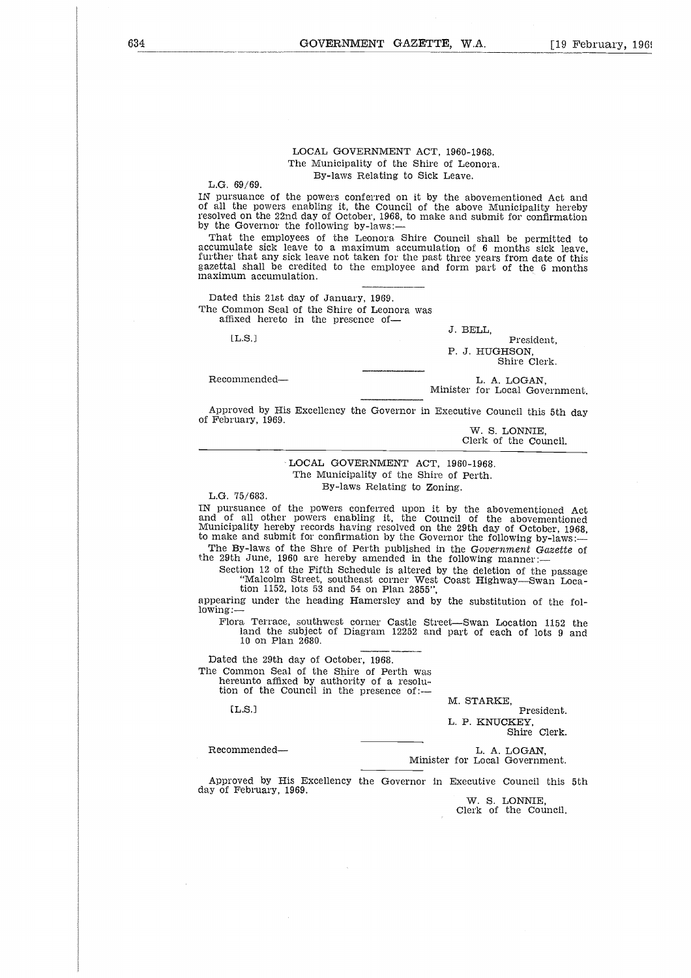### LOCAL GOVERNMENT ACT, 1960-1968. The Municipality of the Shire of Leonora. By-laws Relating to Sick Leave.

L.G. 69/69.

IN pursuance of the powers conferred on it by the abovementioned Act and of all the powers enabling it, the Council of the above Municipality hereby resolved on the 22nd day of October, 1968, to make and submit for confirmation by the Governor the following by-laws:-

That the employees of the Leonora Shire Council shall be permitted to accumulate sick leave to a maximum accumulation of 6 months sick leave, further that any sick leave not taken for the past three years from date of this gazettal shall be credited to the employee and form part of the 6 months maximum accumulation. That the employees of the Leonora Shire Council shall be perm<br>
commulate sick leave to a maximum accumulation of 8 months site<br>
rether that any sick leave not taken for the past three years from dat<br>
zettal shall be credi

Dated this 21st day of January, 1969. The Common Seal of the Shire of Leonora was affixed hereto in the presence of

J. BELL,

President,

P. J. HUGHSON, Shire Clerk.

# L. A. LOGAN,<br>Minister for Local Government.

Approved by His Excellency the Governor in Executive Council this 5th day of February, 1969.

W. S. LONNIE, Clerk of the Council.

### LOCAL GOVERNMENT ACT, 1960-1968. The Municipality of the Shire of Perth. By-laws Relating to Zoning.

L.G. 75/683.

IN pursuance of the powers conferred upon it by the abovementioned Act and of all other powers enabling it, the Council of the abovementioned Municipality hereby records having resolved on the 29th day of October, 1968, to make and submit for confirmation by the Governor the following by-laws:

The By-laws of the Shre of Perth published in the *Government Gazette* of the 29th June, 1960 are hereby amended in the following manner:

Section 12 of the Fifth Schedule is altered by the deletion of the passage "Malcolm Street, southeast corner West Coast Highway—Swan Loca-tion 1152, lots 53 and 54 on Plan 2855",

appearing under the heading Hamersley and by the substitution of the following:

Flora Terrace, southwest corner Castle Street—Swan Location 1152 the land the subject of Diagram 12252 and part of each of lots 9 and 10 on Plan 2680. Flora Terrace, southwest corner Castle Street—Swan Location<br>
land the subject of Diagram 12252 and part of each of lot<br>
10 on Plan 2680.<br>
Dated the 29th day of October, 1968.<br>
ne Common Seal of the Shire of Perth was<br>
here

Dated the 29th day of October, 1968. The Common Seal of the Shire of Perth was hereunto affixed by authority of a resolu-tion of the Council in the presence of: of suitable to the "Mail to the "Mail"<br>"Mail tion"<br>ing ur Te land<br>d the discussion of the set of the set of the set of the set of the set of the set of the set of the set of the set of the set of the set of the set of the

M. STARKE,

President. L. P. KNUCKEY, Shire Clerk.

L. A. LOGAN,<br>Minister for Local Government.

Approved by His Excellency the Governor in Executive Council this 5th day of February, 1969.

W. S. LONNIE, Clerk of the Council.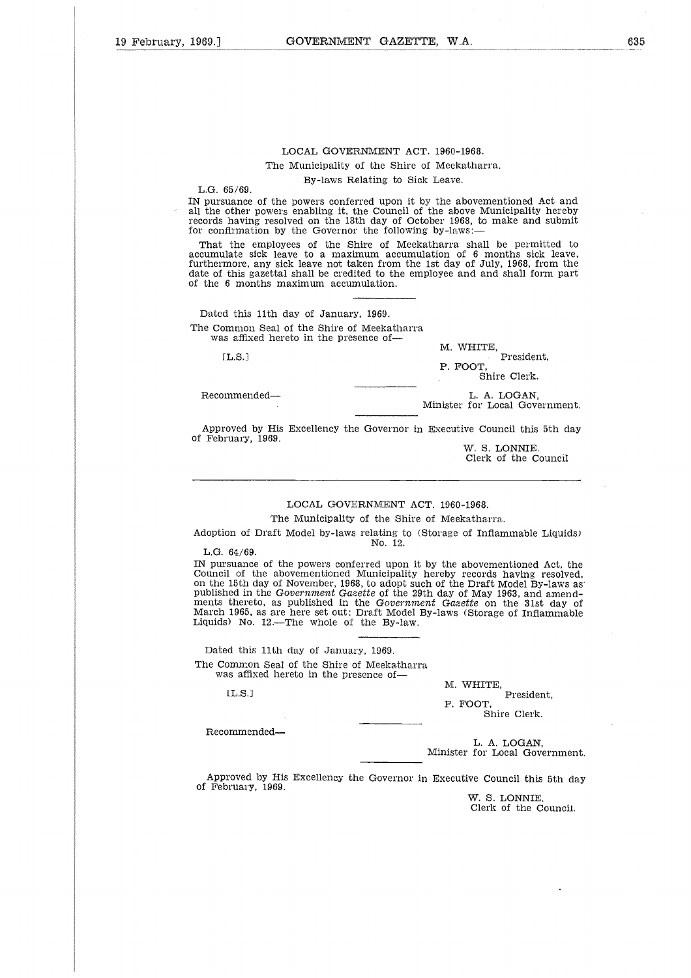### LOCAL GOVERNMENT ACT. 1960-1968. The Municipality of the Shire of Meekatharra. By-laws Relating to Sick Leave.

L.G. 65/69.

IN pursuance of the powers conferred upon it by the abovementioned Act and all the other powers enabling it, the Council of the above Municipality hereby records having resolved on the 18th day of October 1968, to make and submit for confirmation by the Governor the following by-laws:

That the employees of the Shire of Meekatharra shall be permitted to accumulate sick leave to a maximum accumulation of 6 months sick leave, furthermore, any sick leave not taken from the 1st day of July, 1968, from the date of this gazettal shall be credited to the employee and and shall form part of the 6 months maximum accumulation. ・・・mは「scengeng」 scengeng scengeng scengeng scengeng scengeng scengeng scengeng scengeng scengeng sc Example and sick leave to a maximum accumulation of 6 months sick thermore, any sick leave not taken from the 1st day of July, 1968, for the 6 months maximum accumulation.<br>
Lead this gazettal shall be credited to the emplo

Dated this 11th day of January, 1969. The Common Seal of the Shire of Meekatharra was affixed hereto in the presence of

 $[T.S.1$ 

M. WHITE, President,

P. FOOT, Shire Clerk.

Minister for Local Government.

Approved by His Excellency the Governor in Executive Council this 5th day of February, 1969.

W. S. LONNIE. Clerk of the Council

### LOCAL GOVERNMENT ACT. 1960-1968.

The Municipality of the Shire of Meekatharra.

Adoption of Draft Model by-laws relating to (Storage of Inflammable Liquids) No. 12.

L.G. 64/69.

IN pursuance of the powers conferred upon it by the abovementioned Act, the Council of the abovementioned Municipality hereby records having resolved, on the 15th day of November, 1968, to adopt such of the Draft Model By-laws as' published in the *Government Gazette* of the 29th day of May 1963, and amendments thereto, as published in the *Government Gazette* on the 31st day of March 1965, as are here set out: Draft Model By-laws (Storage of Inflammable Liquids) No. 12.—The whole of the By-law.  $64/69$ .<br>
suance<br>
1 of the din 1<br>
15th din 1<br>
theret<br>
1965,  $\frac{1}{100}$ ,  $\frac{1}{100}$ <br>
1 this<br>
1 this<br>
1 this<br>
1 fix<br>
1 fix<br>
1 fix<br>
1 fix<br>
1 fix<br>
1 fix<br>
1 fix<br>
1 fix<br>
1 fix<br>
1 fix<br>
1 fix<br>
1 fix<br>
1 fix<br>
1 fix<br>
1 fix<br>
1 fix<br>

Dated this 11th day of January, 1969. The Common Seal of the Shire of Meekatharra was affixed hereto in the presence of-

 $IL.S.1$ 

M. WHITE, President, P. FOOT, Shire Clerk.

Recommended

L. A. LOGAN, Minister for Local Government.

Approved by His Excellency the Governor in Executive Council this 5th day of February, 1969.

*W.* S. LONNIE. Clerk of the Council. 635